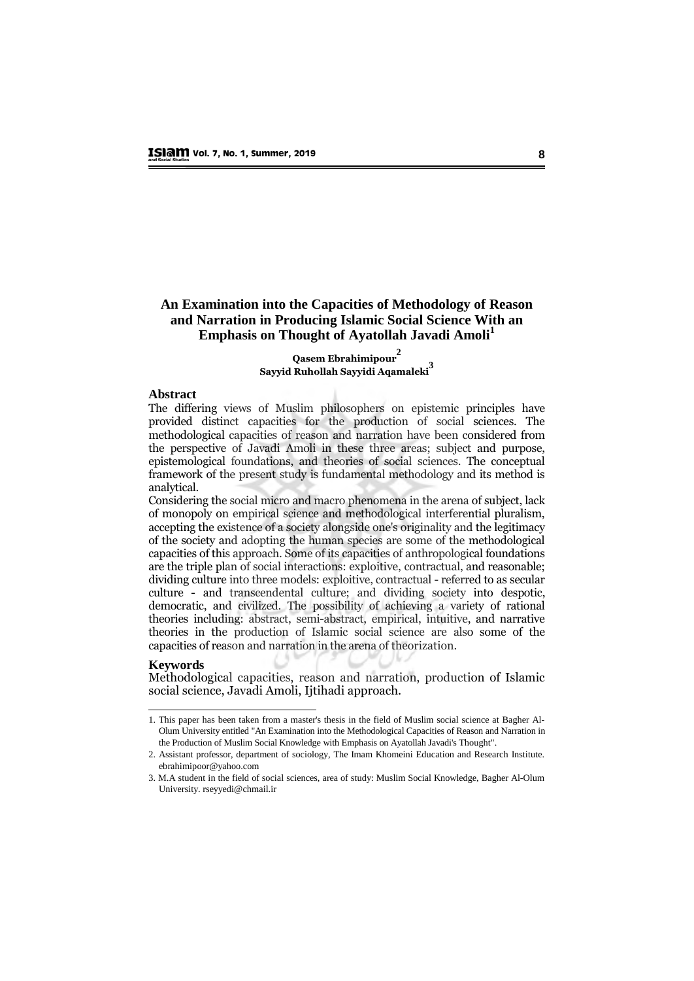#### **An Examination into the Capacities of Methodology of Reason and Narration in Producing Islamic Social Science With an Emphasis on Thought of Ayatollah Javadi Amoli<sup>1</sup>**

#### **Qasem Ebrahimipour2 Sayyid Ruhollah Sayyidi Aqamaleki3**

#### **Abstract**  $\Delta$ bstract of Muslim philosophers of Muslim philosophers on epistemic principles have principles have principles have principles have principles have principles have principles have principles have principles have princip

The differing views of Muslim philosophers on epistemic principles have provided distinct capacities for the production of social sciences. The methodological capacities of reason and narration have been considered from the perspective of Javadi Amoli in these three areas; subject and purpose, epistemological foundations, and theories of social sciences. The conceptual framework of the present study is fundamental methodology and its method is considering the social micro phenomena in the arena in the arena of subject, lack and macro phenomena in the arena of subject, lack and macro phenomena in the arena of subject, lack and macro phenomena in the arena of subj

Considering the social micro and macro phenomena in the arena of subject, lack of monopoly on empirical science and methodological interferential pluralism, accepting the existence of a society alongside one's originality and the legitimacy of the society and adopting the human species are some of the methodological capacities of this approach. Some of its capacities of anthropological foundations are the triple plan of social interactions: exploitive, contractual, and reasonable; dividing culture into three models: exploitive, contractual - referred to as secular culture - and transcendental culture; and dividing society into despotic, democratic, and civilized. The possibility of achieving a variety of rational theories including: abstract, semi-abstract, empirical, intuitive, and narrative theories in the production of Islamic social science are also some of the capacities of reason and narration in the arena of theorization.

#### **Keywords**

 $\overline{a}$ 

Methodological capacities, reason and narration, production of Islamic social science, Javadi Amoli, Ijtihadi approach.

<sup>1.</sup> This paper has been taken from a master's thesis in the field of Muslim social science at Bagher Al-Olum University entitled "An Examination into the Methodological Capacities of Reason and Narration in the Production of Muslim Social Knowledge with Emphasis on Ayatollah Javadi's Thought".

<sup>2.</sup> Assistant professor, department of sociology, The Imam Khomeini Education and Research Institute. [ebrahimipoor@yahoo.com](mailto:ebrahimipoor@yahoo.com) 

<sup>3.</sup> M.A student in the field of social sciences, area of study: Muslim Social Knowledge, Bagher Al-Olum University. [rseyyedi@chmail.ir](mailto:rseyyedi@chmail.ir)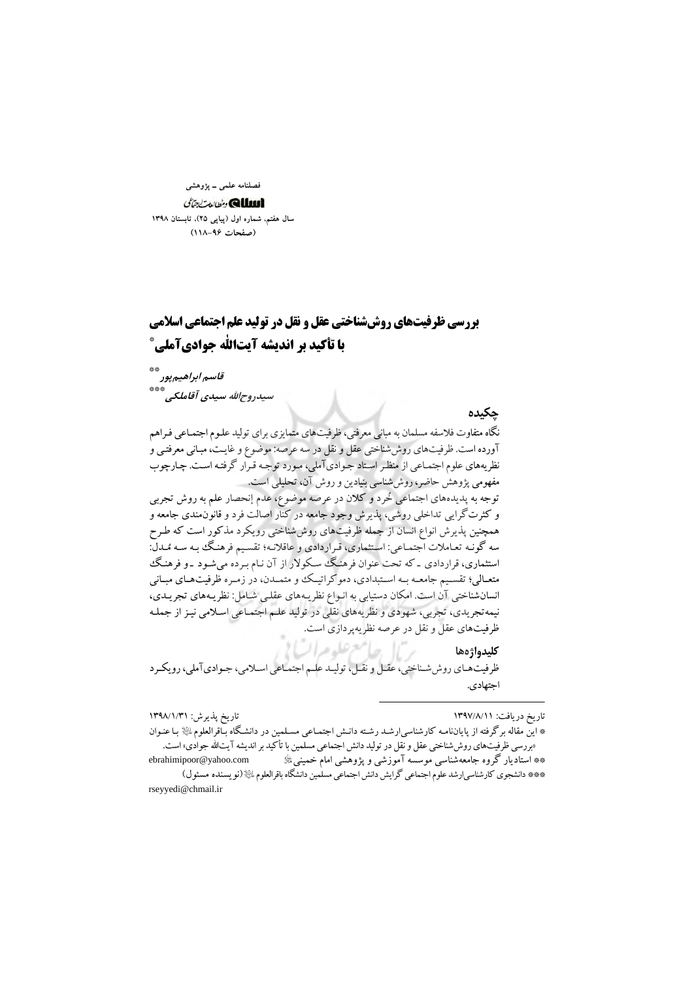فصلنامه علمي ــ پژوهشي

الللله الأنحان تناقل سال هفتم، شماره اول (پیاپی ۲۵)، تابستان ۱۳۹۸ (صفحات ۹۶-۱۱۸)

## **بررسی ظرفیتهای روش شناختی عقل و نقل در تولید علم اجتماعی اسلامی** با تأكيد بر انديشه آيتالله جواديآمليْ

قاسم ابراهیم پور سیدروحالله سیدی آقاملکه . \*\*\*

تاريخ پذيرش: ١٣٩٨/١/٣١

حكىدە

نگاه متفاوت فلاسفه مسلمان به مبانی معرفتی، ظرفیتهای متمایزی برای تولید علـوم اجتمـاعی فـراهم آورده است. ظرفیتهای روش شناختی عقل و نقل در سه عرصه: موضوع و غایـت، مبـانی معرفتـی و نظریههای علوم اجتماعی از منظر استاد جوادیآملی، مورد توجه قرار گرفته است. چارچوب مفهومی پژوهش حاضر، روششناسی بنیادین و روش آن، تحلیلی است.

توجه به پدیدههای اجتماعی خُرد و کلان در عرصه موضوع، عدم إنحصار علم به روش تجربی و کثرتگرایی تداخلی روشی، پذیرش وجود جامعه در کنار اصالت فرد و قانون.مندی جامعه و همچنین پذیرش انواع انسان از جمله ظرفیتهای روششناختی رویکرد مذکور است که طـرح سه گونـه تعـاملات اجتمـاعي: اسـتثماري، قـراردادي و عاقلانـه؛ تقسـيم فرهنـگ بـه سـه مُـدل: استثماری، قراردادی ـ که تحت عنوان فرهنگ سکولار از آن نـام بـرده می شـود ـ و فرهنگ متعـالي؛ تقسـيم جامعـه بـه اسـتبدادي، دموكراتيـك و متمـدن، در زمـره ظرفيتهـاي مبـاني انسانشناختی آن است. امکان دستیابی به انـواع نظریـههای عقلـی شـامل: نظریـههای تجریـدی، نیمه تجریدی، تجربی، شهودی و نظریههای نقلی در تولید علـم اجتمـاعی اسـلامی نیـز از جملـه ظرفیتهای عقل و نقل در عرصه نظریهپردازی است.

ل ماسع علوم السا كليدواژهها ظرفیت هـای روش شـناختی، عقـل و نقـل، تولیـد علـم اجتمـاعی اسـلامی، جـوادی آملی، رویکـرد اجتهادي.

تاريخ دريافت: ١٣٩٧/٨/١١

<sup>\*</sup> این مقاله برگرفته از پایاننامـه کارشناسیارشـد رشـته دانـش اجتمـاعی مسـلمین در دانشـگاه بـّاقرالعلومﷺ بـا عنـوان

<sup>«</sup>بررسی ظرفیتهای روششناختی عقل و نقل در تولید دانش اجتماعی مسلمین با تأکید بر اندیشه آیتالله جوادی» است. ebrahimipoor@yahoo.com \*\* استادیار گروه جامعهشناسی موسسه آموزشی و پژوهشی امام خمینی ﷺ \*\*\* دانشجوي كارشناسي|رشد علوم اجتماعي گرايش دانش اجتماعي مسلمين دانشگاه باقرالعلوم ءليه (نو يسنده مسئول) rseyyedi@chmail.ir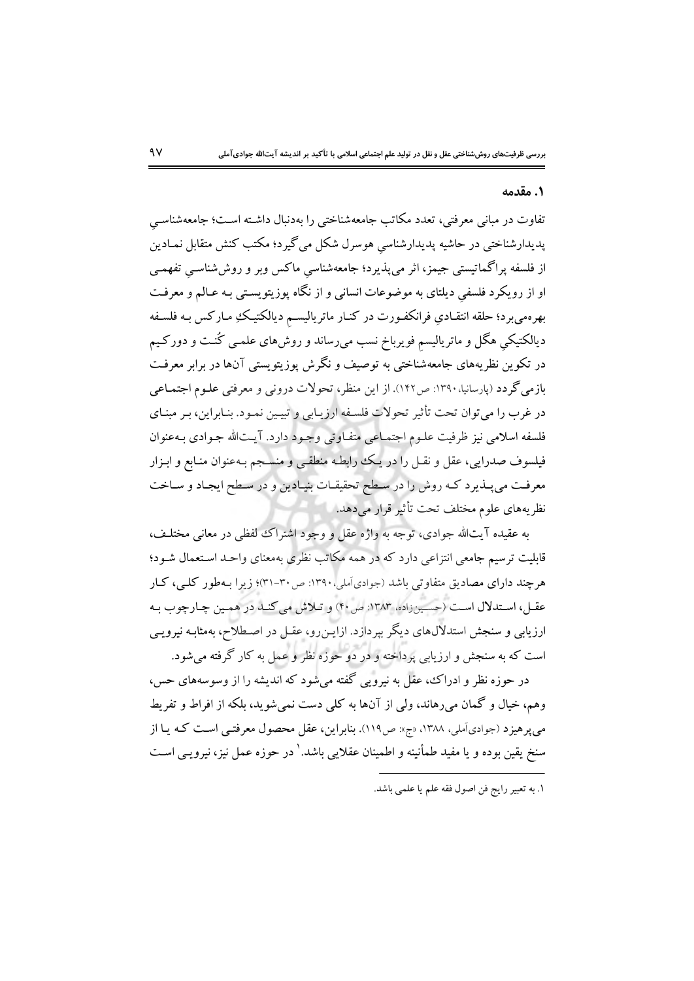#### ۰۱ مقدمه

تفاوت در مبانی معرفتی، تعدد مکاتب جامعهشناختی را بهدنبال داشـته اسـت؛ جامعهشناسـی پدیدارشناختی در حاشیه پدیدارشناسی هوسرل شکل می گیرد؛ مکتب کنش متقابل نمـادین از فلسفه پراگماتیستی جیمز، اثر می پذیرد؛ جامعهشناسی ماکس وبر و روششناسـی تفهمـی او از رویکرد فلسفی دیلتای به موضوعات انسانی و از نگاه پوزیتویستی بـه عـالـم و معرفـت بهرهمیبرد؛ حلقه انتقـادیِ فرانکفـورت در کنـار ماتریالیســم دیالکتیـکهِ مـارکس بـه فلسـفه دیالکتیکی هگل و ماتریالیسم فویرباخ نسب میرساند و روش۵ای علمـی کُنـت و دورکـیم در تکوین نظریههای جامعهشناختی به توصیف و نگرش یوزیتویستی آنها در برابر معرفت بازمی گر دد (پارسانیا، ۱۳۹۰: ص۱۴۲). از این منظر، تحولات درونی و معرفتی علـوم اجتمـاعی در غرب را می توان تحت تأثیر تحولات فلسفه ارزیبابی و تبیین نمبود. بنابراین، ببر مبنیای فلسفه اسلامي نيز ظرفيت علـوم اجتمـاعي متفـاوتي وجـود دارد. آيـتالله جـوادي بـهعنوان فیلسوف صدرایی، عقل و نقـل را در یـک رابطـه منطقـی و منسـجم بـهعنوان منـابع و ابـزار معرفت مي پـذيرد كـه روش را در سـطح تحقيقـات بنيـادين و در سـطح ايجـاد و سـاخت نظریههای علوم مختلف تحت تأثیر قرار می دهد.

به عقيده آيتالله جوادي، توجه به واژه عقل و وجود اشتراك لفظي در معاني مختلـف، قابلیت ترسیم جامعی انتزاعی دارد که در همه مکاتب نظری بهمعنای واحـد اسـتعمال شـود؛ هرچند دارای مصادیق متفاوتی باشد (جوادیآملی،۱۳۹۰: ص۳۰-۳۱)؛ زیرا بـهطور کلــ ,، کـار عقبل، استدلال است (حسینزاده، ١٣٨٣: ص٣٠) و تلاش مي كند در همين چارچوب به ارزیابی و سنجش استدلال های دیگر بپردازد. ازایـن(و، عقـل در اصـطلاح، بهمثابـه نیرویـی است که به سنجش و ارزیابی پرداخته و در دو حوزه نظر و عمل به کار گرفته میشود.

در حوزه نظر و ادراک، عقل به نیرویی گفته می شود که اندیشه را از وسوسههای حس، وهم، خيال و گمان مي رهاند، ولي از آنها به كلي دست نمي شويد، بلكه از افراط و تفريط می پر هیز د (جوادیآملی، ۱۳۸۸، «ج»: ص١١٩). بنابراین، عقل محصول معرفتبی است کـه پـا از سنخ یقین بوده و یا مفید طمأنینه و اطمینان عقلایی باشد.' در حوزه عمل نیز، نیرویـی اسـت

١. به تعبير رايج فن اصول فقه علم يا علمي باشد.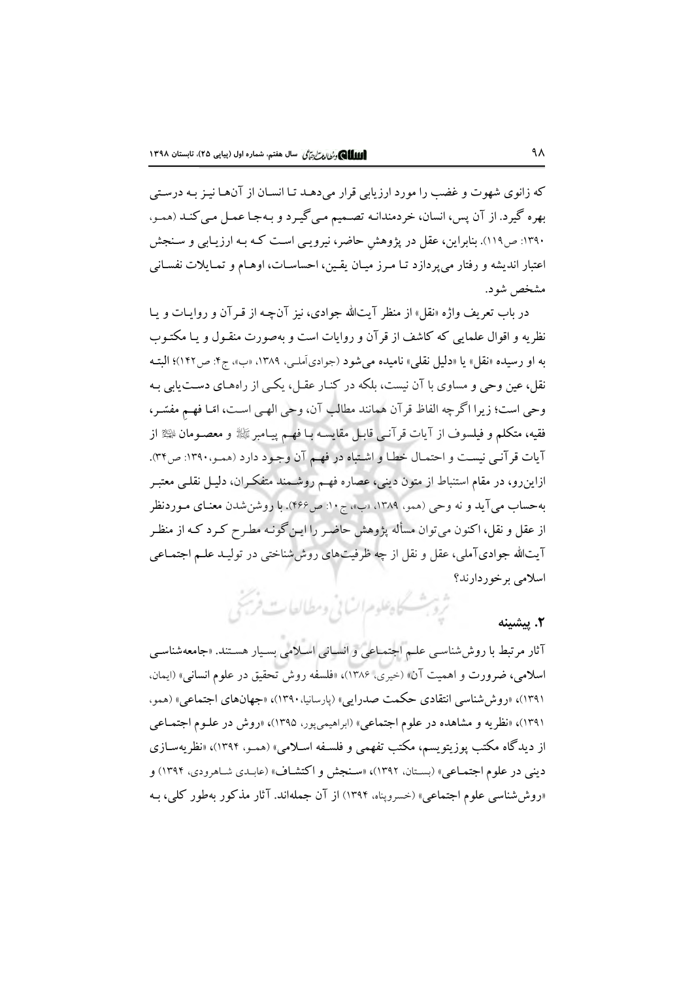که زانوی شهوت و غضب را مورد ارزیابی قرار می دهـد تـا انسـان از آنهـا نیـز بـه درسـتی بهره گیرد. از آن پس، انسان، خردمندانـه تصـمیم مـي گیـرد و بـهجـا عمـل مـي كنـد (همـو، ۱۳۹۰: ص۱۱۹). بنابراین، عقل در پژوهش حاضر، نیرویبی است کـه بـه ارزیـابی و سـنجش اعتبار انديشه و رفتار مى پردازد تـا مـرز ميـان يقـين، احساسـات، اوهـام و تمـايلات نفسـانى مشخص شو د.

در باب تعریف واژه «نقل» از منظر آیتالله جوادی، نیز آنچـه از قـرآن و روایـات و پـا نظریه و اقوال علمایی که کاشف از قر آن و روایات است و بهصورت منقـول و یـا مکتـوب به او رسیده «نقل» یا «دلیل نقلی» نامیده می شود (جوادیآمله ، ۱۳۸۹، «ب»، ج۴: ص۱۴۲)؛ البتـه نقل، عین وحی و مساوی با آن نیست، بلکه در کنـار عقـل، یکـی از راههـای دسـت یابی بـه وحي است؛ زيرا اگرچه الفاظ قرآن همانند مطالب آن، وحي الهـي اسـت، امّـا فهـم مفسّـر، فقيه، متكلم و فيلسوف از آيات قرآنـي قابـل مقايسـه بـا فهـم پيـامبر ﷺ و معصـومان ﷺ از آيات قرآني نيست و احتمـال خطـا و اشـتباه در فهـم آن وجـود دارد (همـو،١٣٩٠: ص٣٣). ازاین٫و، در مقام استنباط از متون دینی، عصاره فهم روشـمند متفکـران، دلیـل نقلـی معتبـر بهحساب مي آيد و نه وحي (همو، ١٣٨٩، «ب»، ج١٠: ص١٤۶). با روشن شدن معنـاي مـوردنظر از عقل و نقل، اکنون میتوان مسأله پژوهش حاضر را این گونـه مطـرح کـرد کـه از منظـر آیتالله جوادیآملی، عقل و نقل از چه ظرفیتهای روششناختی در تولیـد علـم اجتمـاعی اسلامي برخوردارند؟

# شروبث كاه علوم السابي ومطالعات فريجي

آثار مرتبط با روش شناسبي علـم اجتمـاعي و انسـاني اسـلامي بسـيار هسـتند. «جامعهشناسـي اسلامي، ضرورت و اهميت آن» (خيري، ١٣٨۶)، «فلسفه روش تحقيق در علوم انساني» (ايمان. ۱۳۹۱)، «روش شناسی انتقادی حکمت صدرایی» (پارسانیا، ۱۳۹۰)، «جهانهای اجتماعی» (همو، ۱۳۹۱)، «نظریه و مشاهده در علوم اجتماعی» (ابراهیمیپور، ۱۳۹۵)، «روش در علـوم اجتمـاعی از دیدگاه مکتب پوزیتویسم، مکتب تفهمی و فلسـفه اسـلامی» (همـو، ۱۳۹۴)، «نظریهسـازی دینی در علوم اجتماعی» (بستان، ۱۳۹۲)، «سنجش و اکتشاف» (عابـدي شـاهرودي، ۱۳۹۴) و «روششناسی علوم اجتماعی» (خسروپناه، ۱۳۹۴) از آن جملهاند. آثار مذکور بهطور کلم، بـه

٢. پيشينه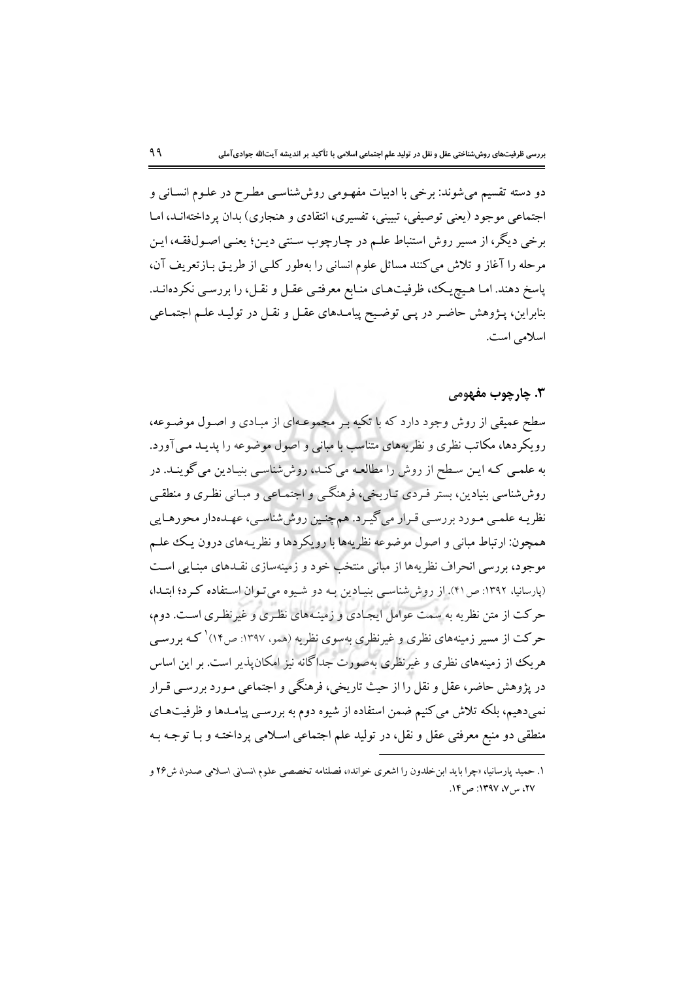دو دسته تقسیم می شوند: برخی با ادبیات مفهـومی روششناسـی مطـرح در علـوم انسـانی و اجتماعی موجود (یعنی توصیفی، تبیینی، تفسیری، انتقادی و هنجاری) بدان پرداختهانـد، امـا برخی دیگر، از مسیر روش استنباط علـم در چـارچوب سـنتی دیـن؛ یعنـی اصـولفقـه، ایـن مرحله را آغاز و تلاش میکنند مسائل علوم انسانی را بهطور کلـی از طریـق بـازتعریف آن، پاسخ دهند. امـا هـيچيـك، ظرفيتهـاي منـابع معرفتـي عقـل و نقـل، را بررسـي نكردهانـد. بنابراین، پـژوهش حاضـر در پـی توضـیح پیامـدهای عقـل و نقـل در تولیـد علـم اجتمـاعی اسلامي است.

#### **۳. چارچوب مفهومي**

سطح عمیقی از روش وجود دارد که با تکیه بـر مجموعـهای از مبـادی و اصـول موضـوعه، رویکردها، مکاتب نظری و نظریههای متناسب با مبانی و اصول موضوعه را پدیـد مـی آورد. به علمبی کـه ایـن سـطح از روش را مطالعـه می کنـد، روششناسـی بنیـادین می گوینـد. در روششناسی بنیادین، بستر فـردی تـاریخی، فرهنگـی و اجتمـاعی و مبـانی نظـری و منطقـی نظریـه علمـی مـورد بررسـی قـرار میگیـرد. همچنـین روششناسـی، عهـدهدار محورهـایی همچون: ارتباط مبانی و اصول موضوعه نظریهها با رویکردها و نظریـههای درون یـک علـم موجود، بررسی انحراف نظریهها از مبانی منتخب خود و زمینهسازی نقـدهای مبنـایی اسـت (پارسانیا، ۱۳۹۲: ص ۴۱). از روش شناسی بنیادین به دو شیوه می توان استفاده کرد؛ ابتدا، حرکت از متن نظریه به سمت عوامل ایجادی و زمینـههای نظـری و غیرنظـری اسـت. دوم، حرکت از مسیر زمینههای نظری و غیرنظری بهسوی نظریه (همو، ۱۳۹۷: ص۱۴) کـه بررسـی هریک از زمینههای نظری و غیرنظری بهصورت جداگانه نیز امکان پذیر است. بر این اساس در پژوهش حاضر، عقل و نقل را از حیث تاریخی، فرهنگی و اجتماعی مـورد بررسـی قـرار نمی دهیم، بلکه تلاش می کنیم ضمن استفاده از شیوه دوم به بررسـی پیامـدها و ظرفیتهـای منطقی دو منبع معرفتی عقل و نقل، در تولید علم اجتماعی اسلامی پرداختـه و بـا توجـه بـه

۱. حمید پارسانیا، «چرا باید ابن خلدون را اشعری خواند»، فصلنامه تخصصی علوم انسانی اسلامی صدرا، ش۲۶ و ٢٧، س ٧، ١٣٩٧: ص ١٤.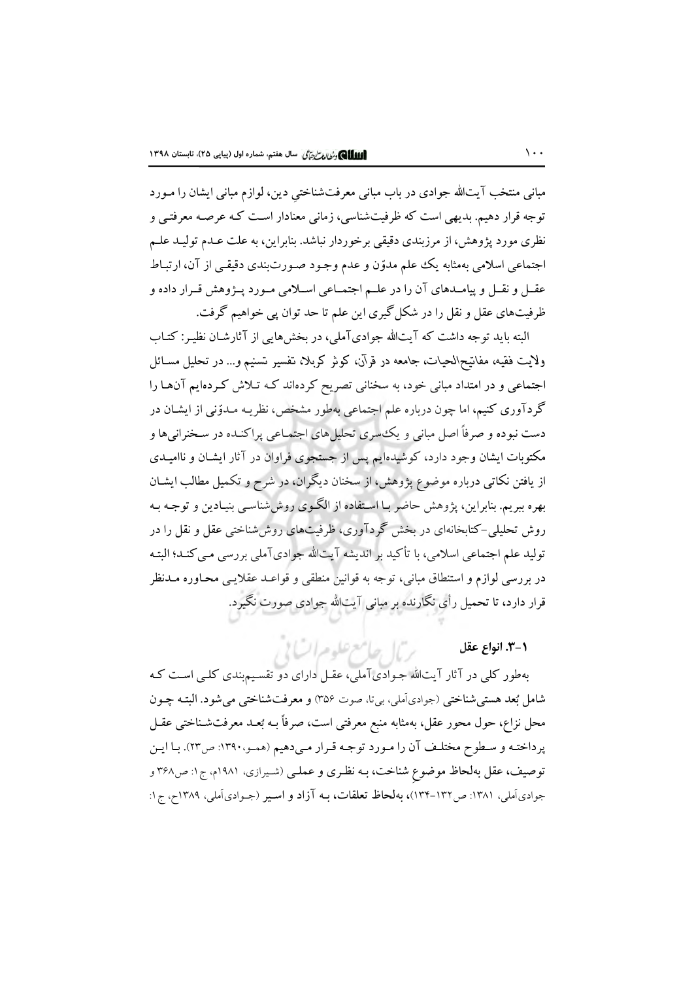مبانی منتخب آیتالله جوادی در باب مبانی معرفتشناختی دین، لوازم مبانی ایشان را مـورد توجه قرار دهیم. بدیهی است که ظرفیتشناسی، زمانی معنادار است کـه عرصـه معرفتـی و نظری مورد پژوهش، از مرزبندی دقیقی برخوردار نباشد. بنابراین، به علت عـدم تولیـد علـم اجتماعی اسلامی بهمثابه یک علم مدوّن و عدم وجـود صـورت بندی دقیقـی از آن، ارتبـاط عقــل و نقــل و پیامــدهای آن را در علــم اجتمــاعی اســلامی مــورد پــژوهش قــرار داده و ظرفیتهای عقل و نقل را در شکل گیری این علم تا حد توان پی خواهیم گرفت.

البته باید توجه داشت که آیتالله جوادیآملی، در بخشهایی از آثارشـان نظیـر: کتـاب ولايت فقيه، مفاتيح\لحيات، جامعه در قرآن، كوثر كربلا، تفسير تسنيم و… در تحليل مسـائل اجتماعی و در امتداد مبانی خود، به سخنانی تصریح کردهاند کـه تـلاش کـردهایم آنهـا را گردآوری کنیم، اما چون درباره علم اجتماعی بهطور مشخص، نظریـه مـدوّنی از ایشـان در دست نبوده و صرفاً اصل مبانی و یک سری تحلیل های اجتمـاعی پراکنـده در سـخنرانی۵ا و مکتوبات ایشان وجود دارد، کوشیدهایم پس از جستجوی فراوان در آثار ایشـان و ناامیـدی از یافتن نکاتبی درباره موضوع پژوهش، از سخنان دیگران، در شرح و تکمیل مطالب ایشـان بهره ببریم. بنابراین، پژوهش حاضر بـا اسـتفاده از الگـوی روششناسـی بنیـادین و توجـه بـه روش تحلیلی–کتابخانهای در بخش گردآوری، ظرفیتهای روششناختی عقل و نقل را در تولید علم اجتماعی اسلامی، با تأکید بر اندیشه آیتالله جوادیآملی بررسی مـیکنـد؛ البتـه در بررسی لوازم و استنطاق مبانی، توجه به قوانین منطقی و قواعـد عقلایـی محـاوره مـدنظر قرار دارد، تا تحمیل رأی نگارنده بر مبانی آیتالله جوادی صورت نگیرد.

٠-٣. انواع عقل

بهطور کلی در آثار آیتالله جـوادیآملی، عقـل دارای دو تقسـیم.بندی کلـی اسـت کـه شامل بُعد هستي شناختي (جوادي اَملي، بي تا، صوت ٣٥۶) و معرفتشناختي مي شود. البتـه چـون محل نزاع، حول محور عقل، بهمثابه منبع معرفتی است، صرفاً بـه بُعـد معرفتشـناختی عقـل پرداختـه و سـطوح مختلـف آن را مـورد توجـه قـرار مـىدهيم (همـو،١٣٩٠: ص٢٣). بـا ايـن توصیف، عقل بهلحاظ موضوع شناخت، بـه نظـری و عملـی (شـیرازی، ۱۹۸۱م، ج۱: ص۳۶۸ و جوادي آملي، ١٣٨١: ص١٣٢-١٣۴)، بهلحاظ تعلقات، بـه آزاد و اسـير (جـوادي آملي، ١٣٨٩ح، ج١:

بربال جامع علوم السابي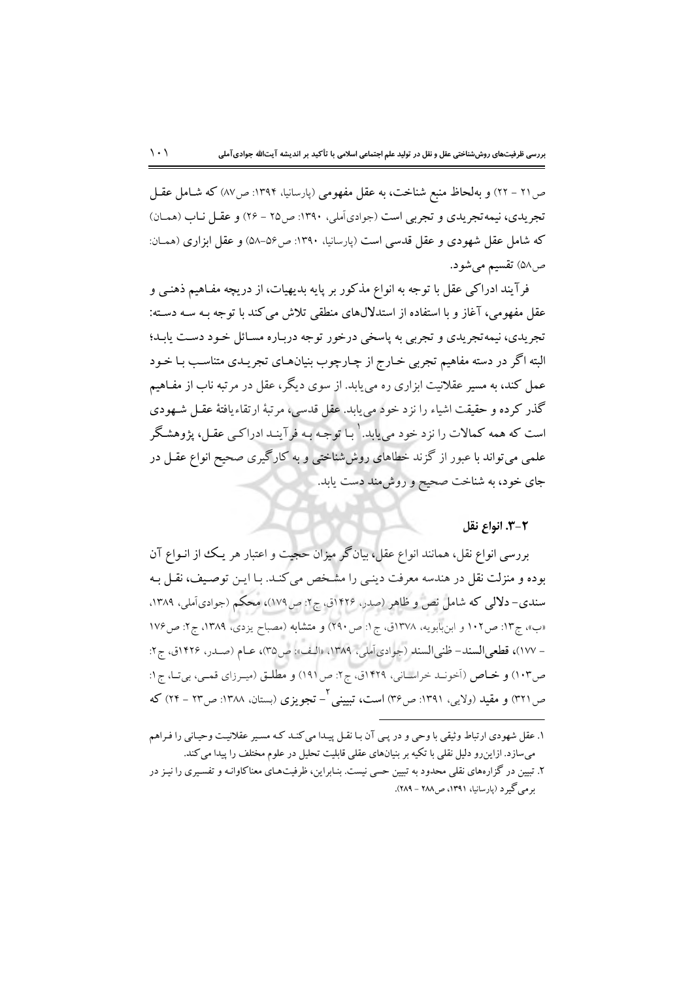ص ٢١ – ٢٢) و بهلحاظ منبع شناخت، به عقل مفهومي (پارسانيا، ١٣٩۴: ص٨٧) كه شـامل عقـل تجریدی، نیمه تجریدی و تجربی است (جوادی آملی، ۱۳۹۰: ص۲۵ - ۲۶) و عقـل نـاب (همـان) که شامل عقل شهودی و عقل قدسی است (پارسانیا، ۱۳۹۰: ص۵۶–۵۸) و عقل ابزاری (همان: ص۵۸) تقسیم میشود.

فرآیند ادراکی عقل با توجه به انواع مذکور بر پایه بدیهیات، از دریچه مفـاهیم ذهنـی و عقل مفهومی، آغاز و با استفاده از استدلالهای منطقی تلاش می کند با توجه بـه سـه دسـته: تجریدی، نیمهتجریدی و تجربی به پاسخی درخور توجه درباره مسائل خـود دسـت یابـد؛ البته اگر در دسته مفاهیم تجربی خـارج از چـارچوب بنیانهـای تجریـدی متناسـب بـا خـود عمل کند، به مسیر عقلانیت ابزاری ره می،یابد. از سوی دیگر، عقل در مرتبه ناب از مفـاهیم گذر کرده و حقیقت اشیاء را نزد خود می پابد. عقل قدسی، مرتبهٔ ارتقاءیافتهٔ عقـل شـهودی است که همه کمالات را نزد خود می پابد. ۱ با توجه بـه فرآینـد ادراکـی عقـل، پژوهشـگر علمی می تواند با عبور از گزند خطاهای روششناختی و به کارگیری صحیح انواع عقـل در جای خود، به شناخت صحیح و روش مند دست یابد.

#### ٣-٣. انواع نقل

بررسی انواع نقل، همانند انواع عقل، بیانگر میزان حجیت و اعتبار هر یک از انـواع آن بوده و منزلت نقل در هندسه معرفت دینبی را مشخص می کنـد. بـا ایـن توصـیف، نقـل بـه سندي- دلالي كه شامل نص و ظاهر (صدر، ۱۴۲۶ق، ج۲: ص۱۷۹)، محكم (جوادي آملي، ۱۳۸۹، «ب»، ج۱۳: ص١٠٢ و ابنبابويه، ١٣٧٨ق، ج١: ص ٢٩٠) و متشابه (مصباح يزدي، ١٣٨٩، ج٢: ص١٧۶ - ١٧٧)، قطعي السند- ظني السند (جوادي آملي، ١٣٨٩، «الف»: ص٣٥)، عبام (صدر، ١٤٢۶ق، ج٢: ص١٠٣) و خياص (أخونيد خراسياني، ١٤٢٩ق، ج٢: ص١٩١) و مطليق (ميبرزاي قمبي، بي تيا، ج١: ص۲۲۱) و مقید (ولایی، ۱۳۹۱: ص۳۶) است، تبیینی <sup>۲</sup>– تجویزی (بستان، ۱۳۸۸: ص۲۲ – ۲۴) که

١. عقل شهودي ارتباط وثيقي با وحي و در يبي آن بـا نقـل پيـدا مي كنـد كـه مسـير عقلانيـت وحيـاني را فـراهم میسازد. ازاینرو دلیل نقلی با تکیه بر بنیانهای عقلی قابلیت تحلیل در علوم مختلف را پیدا می کند.

۲. تبیین در گزارههای نقلی محدود به تبیین حسی نیست. بنـابراین، ظرفیتهـای معناکاوانـه و تفسـیری را نیـز در بو مي گيو د (يارسانيا، ١٣٩١، ص١٨٨ - ٢٨٩).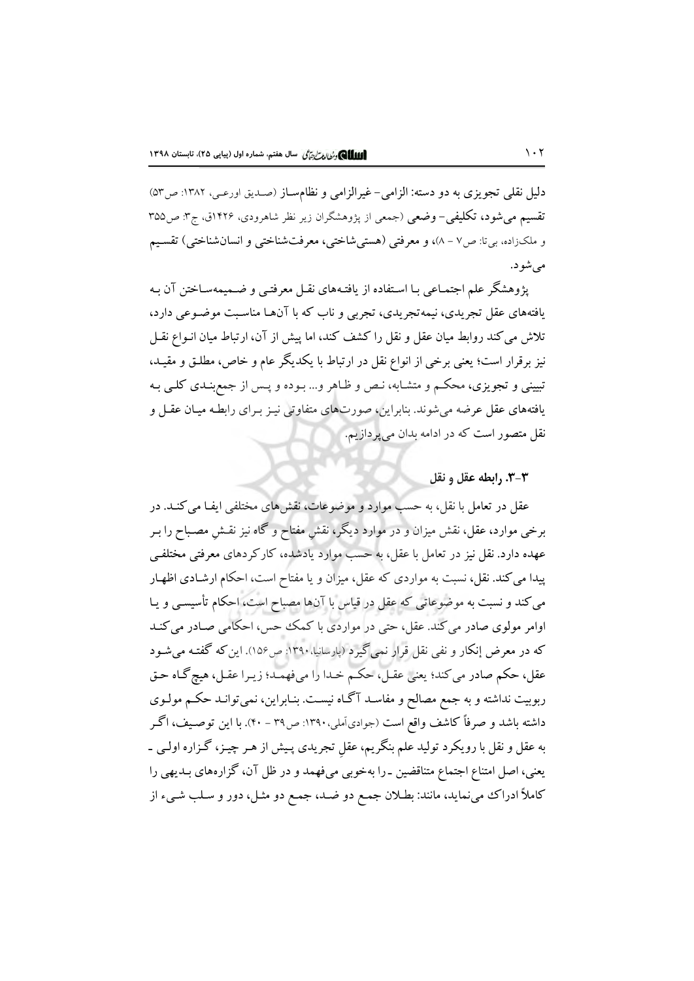دلیل نقلی تجویزی به دو دسته: الزامی- غیرالزامی و نظامساز (صدیق اورعبی، ۱۳۸۲: ص۵۳) تقسیم میشود، تکلیفی-وضعی (جمعی از پژوهشگران زیر نظر شاهرودی، ۱۴۲۶ق، ج۳: ص۳۵۵ و ملکزاده، بنتا: ص٧ – ٨)، و معرفتي (هستي شاختي، معرفتشناختي و انسان شناختي) تقسيم مي شود.

پژوهشگر علم اجتمـاعی بـا اسـتفاده از یافتـههای نقـل معرفتـی و ضـمیمهسـاختن آن بـه یافتههای عقل تجریدی، نیمه تجریدی، تجربی و ناب که با آنهـا مناسـبت موضـوعی دارد، تلاش می کند روابط میان عقل و نقل را کشف کند، اما پیش از آن، ارتباط میان انـواع نقـل نیز برقرار است؛ یعنی برخی از انواع نقل در ارتباط با یکدیگر عام و خاص، مطلـق و مقیـد، تبیینی و تجویزی، محکـم و متشـابه، نـص و ظـاهر و... بـوده و پـس از جمع بنـدی کلـی بـه یافتههای عقل عرضه می شوند. بنابراین، صورتهای متفاوتی نیـز بـرای رابطـه میـان عقـل و نقل متصور است که در ادامه بدان می پردازیم.

#### ٠٣-٣. رابطه عقل و نقل

عقل در تعامل با نقل، به حسب موارد و موضوعات، نقش۵ای مختلفی ایفـا می کنـد. در برخی موارد، عقل، نقش میزان و در موارد دیگر، نقش مفتاح و گاه نیز نقـش مصـباح را بـر عهده دارد. نقل نیز در تعامل با عقل، به حسب موارد یادشده، کارکردهای معرفتی مختلفی پیدا می کند. نقل، نسبت به مواردی که عقل، میزان و یا مفتاح است، احکام ارشـادی اظهـار می کند و نسبت به موضوعاتی که عقل در قیاس با آنها مصباح است، احکام تأسیسی و یـا اوامر مولوی صادر می کند. عقل، حتی در مواردی با کمک حس، احکامی صـادر می کنـد که در معرض إنکار و نفی نقل قرار نمی گیرد (پارسانیا، ۱۳۹۰: ص۱۵۶). این که گفتـه می شـود عقل، حکم صادر می کند؛ یعنی عقـل، حکـم خـدا را میفهمـد؛ زیـرا عقـل، هیچ گـاه حـق ربوبیت نداشته و به جمع مصالح و مفاسـد آگـاه نیسـت. بنـابراین، نمیتوانـد حکـم مولـوی داشته باشد و صرفاً کاشف واقع است (جوادیآملی،۱۳۹۰: ص۳۹ – ۴۰). با این توصـیف، اگـر به عقل و نقل با رویکرد تولید علم بنگریم، عقل تجریدی پـیش از هـر چیـز، گـزاره اولـی ـ یعنی، اصل امتناع اجتماع متناقضین ـ را بهخوبی میفهمد و در ظل آن، گزارههای بـدیهی را کاملاً ادراک مینماید، مانند: بطلان جمع دو ضـد، جمـع دو مثـل، دور و سـلب شـیء از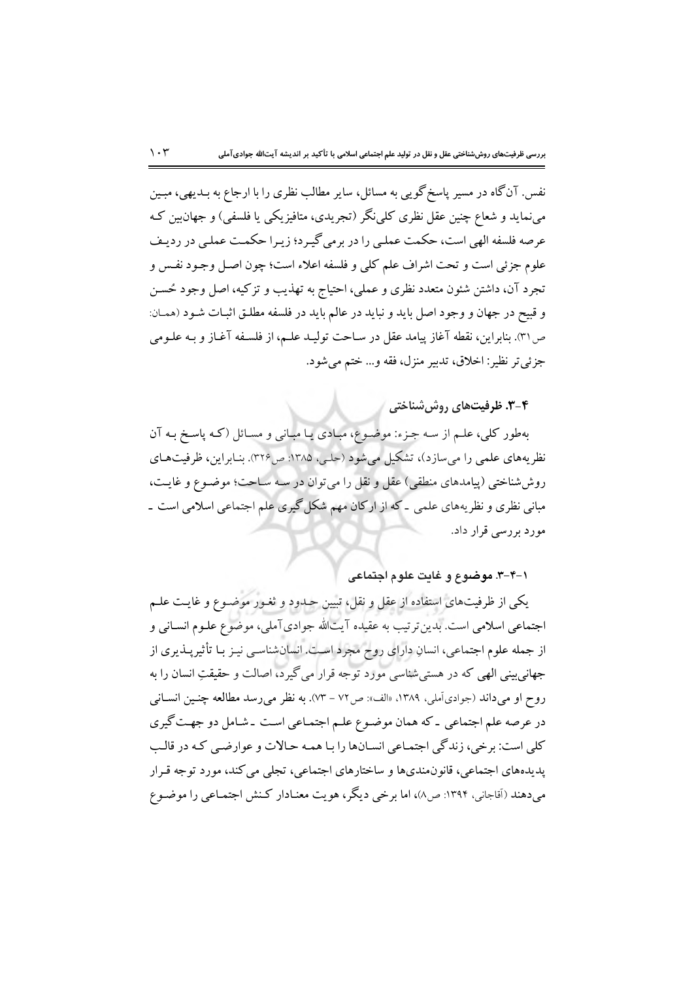نفس. آنگاه در مسیر پاسخ گویبی به مسائل، سایر مطالب نظری را با ارجاع به بـدیهی، مبـین مینماید و شعاع چنین عقل نظری کلی:گر (تجریدی، متافیزیکی یا فلسفی) و جهان بین کـه عرصه فلسفه الهي است، حكمت عملي را در برمي گيـرد؛ زيـرا حكمـت عملـي در رديـف علوم جزئي است و تحت اشراف علم كلي و فلسفه اعلاء است؛ چون اصـل وجـود نفـس و تجرد آن، داشتن شئون متعدد نظري و عملي، احتياج به تهذيب و تزكيه، اصل وجود حُسـن و قبيح در جهان و وجود اصل بايد و نبايد در عالم بايد در فلسفه مطلـق اثبـات شـود (همـان: ص٣١). بنابراين، نقطه آغاز پيامد عقل در سـاحت توليـد علـم، از فلسـفه آغـاز و بـه علـومي جزئي تر نظير: اخلاق، تدبير منزل، فقه و... ختم مي شود.

۰۴-۳. ظرفیتهای روش شناختی

بهطور کلی، علـم از سـه جـزء: موضـوع، مبـادی یـا مبـانی و مسـائل (کـه پاسـخ بـه آن نظریههای علمی را میسازد)، تشکیل میشود (حلبی، ۱۳۸۵: ص۳۲۶). بنـابراین، ظرفیتهـای روششناختی (پیامدهای منطقی) عقل و نقل را می توان در سه سـاحت؛ موضـوع و غایـت، مبانی نظری و نظریههای علمی ـ که از ارکان مهم شکل گیری علم اجتماعی اسلامی است ـ مورد بررسی قرار داد.

۰–۴–۳. موضوع و غايت علوم اجتماعي

یکی از ظرفیتهای استفاده از عقل و نقل، تبیین حـدود و ثغـور موضـوع و غایـت علـم اجتماعی اسلامی است. بدین ترتیب به عقیده آیتالله جوادیآملی، موضوع علـوم انسـانی و از جمله علوم اجتماعی، انسانِ دارای روح مجرد است. انسانشناسبی نیـز بـا تأثیرپــذیری از جهانی بینی الهی که در هستی شناسی مورد توجه قرار می گیرد، اصالت و حقیقتِ انسان را به روح او مي داند (جوادي آملي، ١٣٨٩، «الف»: ص٧٢ – ٧٣). به نظر مي رسد مطالعه چنـين انســاني در عرصه علم اجتماعی ـ که همان موضـوع علـم اجتمـاعی اسـت ـ شـامل دو جهـت گیری کلي است: برخي، زندگي اجتمـاعي انسـانها را بـا همـه حـالات و عوارضـي کـه در قالـب پدیدههای اجتماعی، قانون.ندیها و ساختارهای اجتماعی، تجلی می کند، مورد توجه قـرار میدهند (أقاجانی، ۱۳۹۴: ص۸)، اما برخی دیگر، هویت معنـادار کـنش اجتمـاعی را موضـوع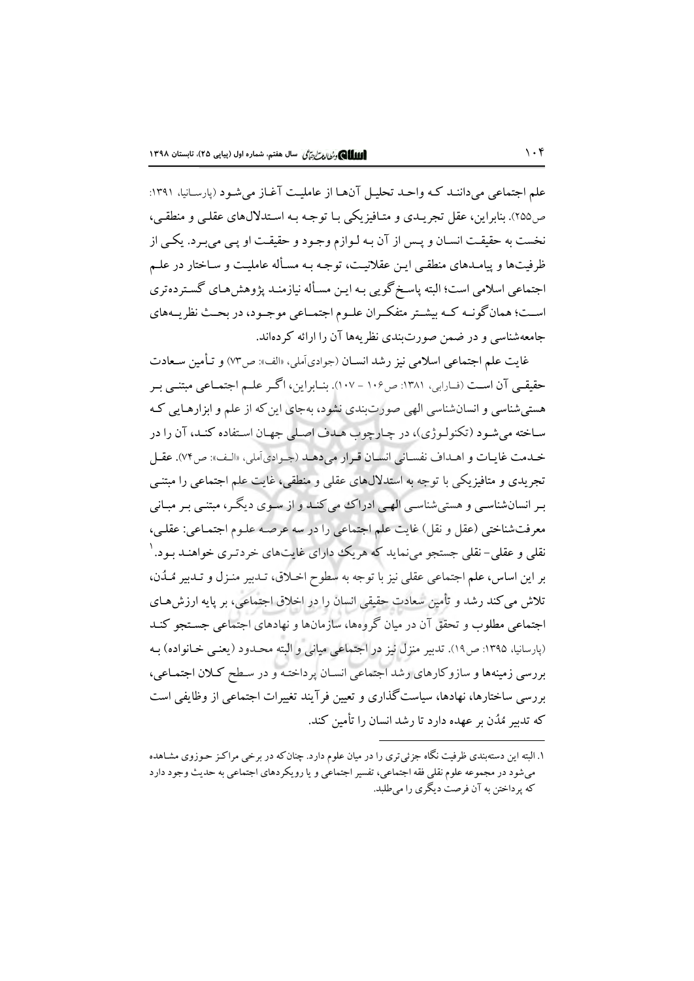علم اجتماعی می داننـد کـه واحـد تحليـل آنهـا از عامليـت آغـاز می شـود (پارسـانيا، ۱۳۹۱: ص٢٥٥). بنابراين، عقل تجريـدي و متـافيزيكي بـا توجـه بـه اسـتدلالهاي عقلـي و منطقـي، نخست به حقیقت انسـان و پـس از آن بـه لـوازم وجـود و حقیقـت او پـی می بـرد. یکـی از ظرفیتها و پیامـدهای منطقـی ایـن عقلانیـت، توجـه بـه مسـأله عاملیـت و سـاختار در علـم اجتماعی اسلامی است؛ البته پاسخ گویی بـه ایـن مسـأله نیازمنـد پژوهش۵عـای گسـتردهتری اسـت؛ همانگونـه كـه بيشـتر متفكـران علـوم اجتمـاعي موجـود، در بحـث نظريـههاي جامعهشناسی و در ضمن صورتبندی نظریهها آن را ارائه کردهاند.

غايت علم اجتماعي اسلامي نيز رشد انسـان (جوادي آملي، «الف»: ص٣٧) و تـأمين سـعادت حقیقبی آن است (فیارابی، ۱۳۸۱: ص۱۰۶ – ۱۰۷). بنیابراین، اگیر علیم اجتمیاعی مبتنبی بیر هستی شناسی و انسان شناسی الهی صورتبندی نشود، بهجای این که از علم و ابزارهایی که ساخته میشود (تکنولوژی)، در چارچوب هـدف اصـلی جهـان اسـتفاده کنـد، آن را در خدمت غايـات و اهـداف نفسـاني انسـان قـرار مي دهـد (جـوادي أملي، «الـف»: ص٧۴). عقـل تجریدی و متافیزیکی با توجه به استدلالهای عقلی و منطقی، غایت علم اجتماعی را مبتنـی بـر انسانشناسـي و هستي شناسـي الهـي ادراكـُ مي كنـد و از سـوى ديگـر، مبتنـي بـر مبـاني معرفتشناختی (عقل و نقل) غایت علم اجتماعی را در سه عرصه علـوم اجتمـاعی: عقلـی، نقلبي و عقلبي– نقلبي جستجو مي نمايد كه هريك داراي غايتهاي خردتـري خواهنـد بـود. ` بر اين اساس، علم اجتماعي عقلي نيز با توجه به سطوح اخـلاق، تـدبير منـزل و تـدبير مُـدُن، تلاش می کند رشد و تأمین سعادت حقیقی انسان را در اخلاق اجتماعی، بر پایه ارزشهـای اجتماعی مطلوب و تحقق آن در مبان گروهها، سازمانها و نهادهای اجتماعی جستجو کنـد (پارسانيا، ١٣٩٥: ص١٩). تدبير منزل نيز در اجتماعي مياني و البته محـدود (يعنـي خـانواده) بـه بررسی زمینهها و سازوکارهای رشد اجتماعی انسـان پرداختـه و در سـطح کـلان اجتمـاعی، بررسی ساختارها، نهادها، سیاست گذاری و تعیین فرآیند تغییرات اجتماعی از وظایفی است که تدبیر مُدُن بر عهده دارد تا رشد انسان را تأمین کند.

۱. البته این دستهبندی ظرفیت نگاه جزئی تری را در میان علوم دارد. چنان که در برخی مراکـز حـوزوی مشـاهده میشود در مجموعه علوم نقلی فقه اجتماعی، تفسیر اجتماعی و یا رویکردهای اجتماعی به حدیث وجود دارد که پرداختن به آن فرصت دیگری را می طلبد.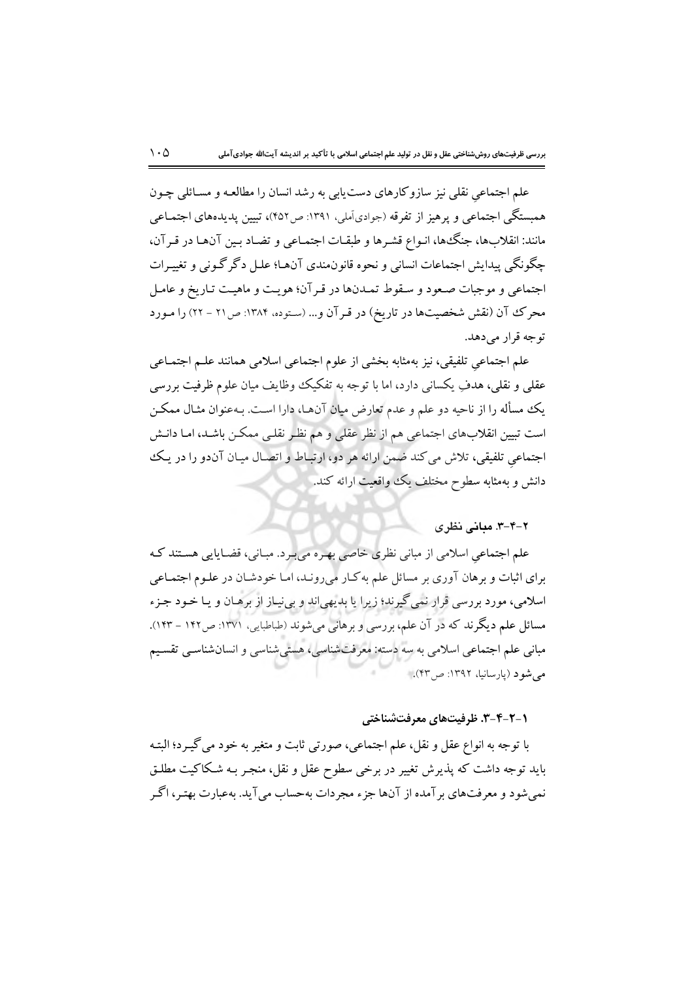علم اجتماعی نقلی نیز سازوکارهای دست یابی به رشد انسان را مطالعـه و مسـائلی چـون همبستگی اجتماعی و پرهیز از تفرقه (جوادیآملی، ۱۳۹۱: ص۴۵۲)، تبیین پدیدههای اجتمـاعی مانند: انقلابها، جنگ ها، انـواع قشـرها و طبقـات اجتمـاعی و تضـاد بـين آنهـا در قـرآن، چگونگي پيدايش اجتماعات انساني و نحوه قانون.ندي آنهـا؛ علـل دگر گـوني و تغييـرات اجتماعي و موجبات صعود و سـقوط تمـدنها در قـرآن؛ هويـت و ماهيـت تـاريخ و عامـل محرک آن (نقش شخصیتها در تاریخ) در قـرآن و... (سـتوده، ۱۳۸۴: ص۲۱ - ۲۲) را مـورد توجه قرار مي دهد.

علم اجتماعي تلفيقي، نيز بهمثابه بخشي از علوم اجتماعي اسلامي همانند علىم اجتمـاعي عقلبي و نقلبي، هدفِ يكساني دارد، اما با توجه به تفكيك وظايف ميان علوم ظرفيت بررسي يک مسأله را از ناحيه دو علم و عدم تعارض ميان آنهـا، دارا اسـت. بـهعنوان مثـال ممکـن است تبیین انقلابهای اجتماعی هم از نظر عقلی و هم نظر نقلبی ممکن باشـد، امـا دانـش اجتماعی تلفیقی، تلاش می کند ضمن ارائه هر دو، ارتباط و اتصال میـان آندو را در یـک دانش و بهمثابه سطوح مختلف یک وواقعیت ارائه کند.

#### ۲-۴-۳. میانی نظری

علم اجتماعی اسلامی از مبانی نظری خاصی بهـره میبـرد. مبـانی، قضـایایی هسـتند کـه برای اثبات و برهان آوری بر مسائل علم به کـار می(ونـد، امـا خودشـان در علـوم اجتمـاعی اسلامی، مورد بررسی قرار نمی گیرند؛ زیرا یا بدیهیاند و بینیاز از برهـان و یـا خـود جـزء مسائل علم دیگرند که در آن علم، بررسی و برهانی میشوند (طباطبایی، ۱۳۷۱: ص۱۴۲ – ۱۴۳). مبانی علم اجتماعی اسلامی به سه دسته: معرفتشناسی، هستی شناسی و انسانشناسی تقسیم می شو د (پارسانیا، ۱۳۹۲: ص۳۳).

#### ۲-۲-۲-۳. ظرفیتهای معرفتشناختی

با توجه به انواع عقل و نقل، علم اجتماعي، صورتي ثابت و متغير به خود مي گيـرد؛ البتـه باید توجه داشت که پذیرش تغییر در برخی سطوح عقل و نقل، منجـر بـه شـکاکیت مطلـق نمي شود و معرفتهاي بر آمده از آنها جزء مجردات به حساب مي آيد. به عبارت بهتـر، اگـر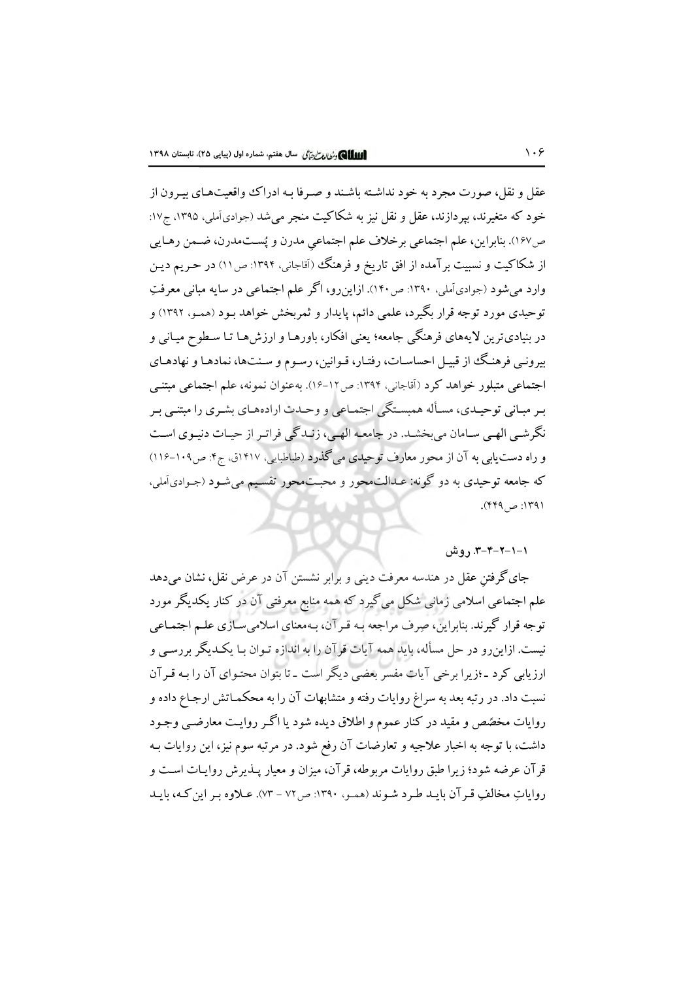عقل و نقل، صورت مجرد به خود نداشته باشند و صـرفا بـه ادراك واقعیتهـای پیـرون از خود که متغیرند، بپردازند، عقل و نقل نیز به شکاکیت منجر میشد (جوادیآملی، ۱۳۹۵، ج۱۷: ص١۶٧). بنابراين، علم اجتماعي برخلاف علم اجتماعي مدرن و پُست.مدرن، ضـمن رهـايي از شکاکیت و نسبیت برآمده از افق تاریخ و فرهنگ (آقاجانی، ۱۳۹۴: ص۱۱) در حـریم دیـن وارد می شود (جوادیآملی، ۱۳۹۰: ص۱۴۰). ازاینرو، اگر علم اجتماعی در سایه مبانی معرفتِ توحیدی مورد توجه قرار بگیرد، علمی دائم، پایدار و ثمربخش خواهد بـود (همـو، ۱۳۹۲) و در بنياديترين لايههاي فرهنگي جامعه؛ يعني افكار، باورهـا و ارزشهـا تـا سـطوح ميـاني و بیرونـی فرهنـگ از قبیـل احساسـات، رفتـار، قـوانین، رسـوم و سـنتها، نمادهـا و نهادهـای اجتماعی متبلور خواهد کرد (آقاجانی، ۱۳۹۴: ص۱۶-۱۶). بهعنوان نمونه، علم اجتماعی مبتنبی بـر مبـاني توحيـدي، مسـأله همبسـتگي اجتمـاعي و وحـدت ارادههـاي بشـري را مبتنـي بـر نگرشـي الهـي سـامان مي بخشـد. در جامعـه الهـي، زنـدگچ فراتـر از حيـات دنيـوي اسـت و راه دست یابی به آن از محور معارف توحیدی می گذرد (طباطبایی، ۱۴۱۷ق، ج۴: ص۱۰۹-۱۱۶) که جامعه توحیدی به دو گونه: عـدالتمحور و محبـتمحور تقسـیم میشـود (جـوادیأملی، ۱۳۹۱: ص۴۴۹).

### ۰–۰–۳–۳–۳. روش

جای گرفتنِ عقل در هندسه معرفت دینی و برابر نشستن آن در عرض نقل، نشان میدهد علم اجتماعی اسلامی زمانی شکل میگیرد که همه منابع معرفتی آن در کنار یکدیگر مورد توجه قرار گیرند. بنابراین، صرف مراجعه بـه قـر آن، بـهمعنای اسلامی سـازی علـم اجتمـاعی نیست. ازاین رو در حل مسأله، باید همه آیات قرآن را به اندازه تـوان بـا یکـدیگر بررسـی و ارزیابی کرد ـ ؛زیرا برخی آیات مفسر بعضی دیگر است ـ تا بتوان محتـوای آن را بـه قـرآن نسبت داد. در رتبه بعد به سراغ روایات رفته و متشابهات آن را به محکمـاتش ارجـاع داده و روایات مخصّص و مقید در کنار عموم و اطلاق دیده شود یا اگـر روایـت معارضـی وجـود داشت، با توجه به اخبار علاجیه و تعارضات آن رفع شود. در مرتبه سوم نیز، این روایات بـه قرآن عرضه شود؛ زیرا طبق روایات مربوطه، قرآن، میزان و معیار پـذیرش روایـات اسـت و رواياتِ مخالفٍ قبر آن بايـد طـرد شـوند (همـو، ١٣٩٠: ص٧٢ - ٧٣). عـلاوه بـر اين كـه، بايـد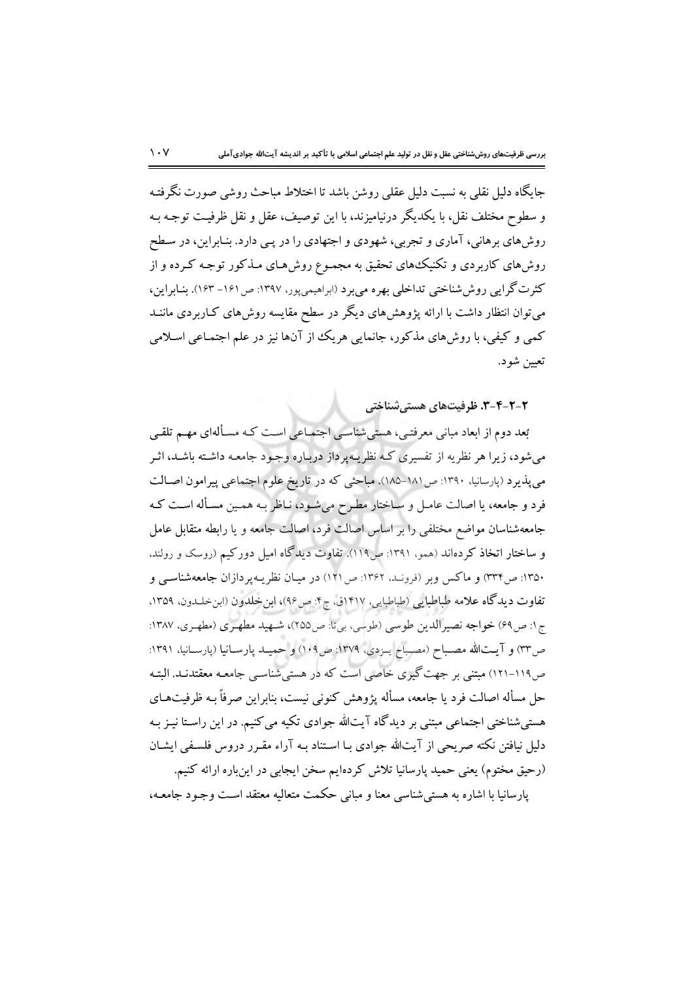جايگاه دليل نقلي به نسبت دليل عقلي روشن باشد تا اختلاط مباحث روشي صورت نگرفتـه و سطوح مختلف نقل، با یکدیگر درنیامیزند، با این توصیف، عقل و نقل ظرفیت توجـه بـه روشهای برهانی، آماری و تجربی، شهودی و اجتهادی را در پـی دارد. بنـابراین، در سـطح روشهای کاربردی و تکنیکهای تحقیق به مجمـوع روشهـای مـذکور توجـه کـرده و از کثرت گرایی روش شناختی تداخلی بهره می برد (ابراهیمی پور، ۱۳۹۷: ص۱۶۱– ۱۶۳). بنـابراین، می توان انتظار داشت با ارائه یژوهش های دیگر در سطح مقایسه روش های کـاربردی ماننــد کمی و کیفی، با روش های مذکور، جانمایی هریک از آنها نیز در علم اجتمـاعی اسـلامی تعيين شود.

۲-۲-۳-۳. ظرفیتهای هستیشناختی

بُعد دوم از ابعاد مبانی معرفتـی، هستیشناسـی اجتمـاعی اسـت کـه مسـألهای مهـم تلقـی می شود، زیرا هر نظریه از تفسیری کـه نظریـهپرداز دربـاره وجـود جامعـه داشـته باشـد، اثـر می پذیرد (پارسانیا، ۱۳۹۰: ص۱۸۱–۱۸۵). مباحثی که در تاریخ علوم اجتماعی پیرامون اصـالت فرد و جامعه، یا اصالت عامـل و سـاختار مطـرح می شـود، نـاظر بـه همـین مسـأله اسـت کـه جامعهشناسان مواضع مختلفي را بر اساس اصالت فرد، اصالت جامعه و يا رابطه متقابل عامل و ساختار اتخاذ کردهاند (همو، ۱۳۹۱: ص١١٩). تفاوت ديدگاه اميل دورکيم (روسک و رولند. ۱۳۵۰: ص۳۳۴) و ماکس وبر (فرونـد، ۱۳۶۲: ص ۱۲۱) در میـان نظریـهپردازان جامعهشناسـی و تفاوت ديدگاه علامه طباطبايي (طباطبايي، ١٣١٧ق، ج۴: ص٩۶)، ابن خلدون (ابن خلدون، ١٣٥٩، ج١: ص٤٩) خواجه نصيراللدين طوسي (طوسي، بيتا: ص٢٥٥)، شـهيد مطهـري (مطهـري، ١٣٨٧: ص٣٣) و آيتالله مصـباح (مصـباح يــزدي، ١٣٧٩: ص١٠٩) و حميــد پارســانيا (پارســانيا، ١٣٩١: ص١١٩-١٢١) مبتنی بر جهت گیری خاصی است که در هستی شناسبی جامعـه معقتدنـد. البتـه حل مسأله اصالت فرد يا جامعه، مسأله يژوهش كنوني نيست، بنابراين صرفاً بـه ظرفيتهـاي هستی شناختی اجتماعی مبتنی بر دیدگاه آیتالله جوادی تکیه می کنیم. در این راسـتا نیـز بـه دلیل نیافتن نکته صریحی از آیتالله جوادی بـا اسـتناد بـه آراء مقـرر دروس فلسـفی ایشـان (رحيق مختوم) يعني حميد پارسانيا تلاش كردهايم سخن ايجابي در اينباره ارائه كنيم. پارسانیا با اشاره به هستی شناسی معنا و مبانبی حکمت متعالیه معتقد است وجـود جامعـه،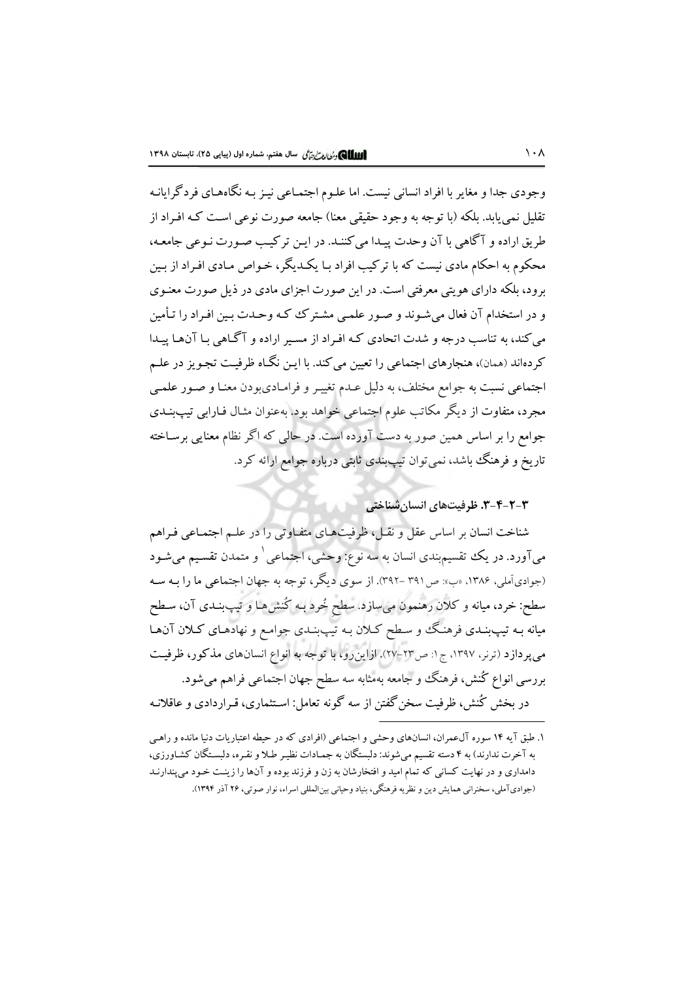وجودي جدا و مغاير با افراد انساني نيست. اما علـوم اجتمـاعي نيـز بـه نگاههـاي فردگر ايانـه تقلیل نمی پابد. بلکه (با توجه به وجود حقیقی معنا) جامعه صورت نوعی است کـه افـراد از طريق اراده و آگاهي با آن وحدت پيـدا مي كننـد. در ايـن تركيـب صـورت نـوعي جامعـه، محکوم به احکام مادی نیست که با ترکیب افراد بـا یکـدیگر، خـواص مـادی افـراد از بـین برود، بلکه دارای هویتی معرفتی است. در این صورت اجزای مادی در ذیل صورت معنـوی و در استخدام آن فعال میشوند و صور علمی مشترک که وحدت بین افـراد را تـأمین می کند، به تناسب درجه و شدت اتحادی کـه افـراد از مسـير اراده و آگـاهی بـا آنهـا پيـدا کردهاند (همان)، هنجارهای اجتماعی را تعیین میکند. با ایـن نگـاه ظرفیـت تجـویز در علـم اجتماعی نسبت به جوامع مختلف، به دلیل عـدم تغییـر و فرامـادیبودن معنـا و صـور علمـی مجرد، متفاوت از دیگر مکاتب علوم اجتماعی خواهد بود. بهعنوان مثـال فـارابی تیپ:بـنـدی جوامع را بر اساس همین صور به دست آورده است. در حالبی که اگر نظام معنایی برسـاخته تاریخ و فرهنگ باشد، نمی توان تیپبندی ثابتی درباره جوامع ارائه کرد.

۳-۲-۴-۳. ظرفیتهای انسان شناختی

شناخت انسان بر اساس عقل و نقـل، ظرفیتهـای متفـاوتی را در علـم اجتمـاعی فـراهم میآورد. در یک تقسیم٬ندی انسان به سه نوع: وحشی، اجتماعی ٰ و متمدن تقسیم میشود (جوادي آملي، ١٣٨۶، «ب»: ص٣٩١ -٣٩٢). از سوى ديگر، توجه به جهان اجتماعي ما را بـه سـه سطح: خرد، میانه و کلان رهنمون میسازد. سطح خُرد بـه کُنش۵هـا و تیپبنـدی آن، سـطح میانه بـه تیپبنـدی فرهنگ و سـطح کـلان بـه تیپبنـدی جوامـع و نهادهـای کـلان آن&ا می پردازد (ترنر، ۱۳۹۷، ج۱: ص۲۳-۲۷). ازاین رو، با توجه به انواع انسانهای مذکور، ظرفیت بررسی انواع کُنش، فرهنگ و جامعه بهمثابه سه سطح جهان اجتماعی فراهم می شود.

در پخش کُنش، ظرفیت سخن گفتن از سه گونه تعامل: استثماری، قبراردادی و عاقلانیه

۱. طبق آیه ۱۴ سوره آلءمران، انسانهای وحشی و اجتماعی (افرادی که در حیطه اعتباریات دنیا مانده و راهبی به آخرت ندارند) به ۴ دسته تقسیم میشوند: دلبستگان به جمـادات نظیـر طـلا و نقـره، دلبسـتگان کشـاورزی، دامداری و در نهایت کسانی که تمام امید و افتخارشان به زن و فرزند بوده و آنها را زینت خـود میپندارنـد (جواديآملي، سخنراني همايش دين و نظريه فرهنگي، بنياد وحياني بين|لمللي اسراء، نوار صوتي، ٢۶ آذر ١٣٩۴).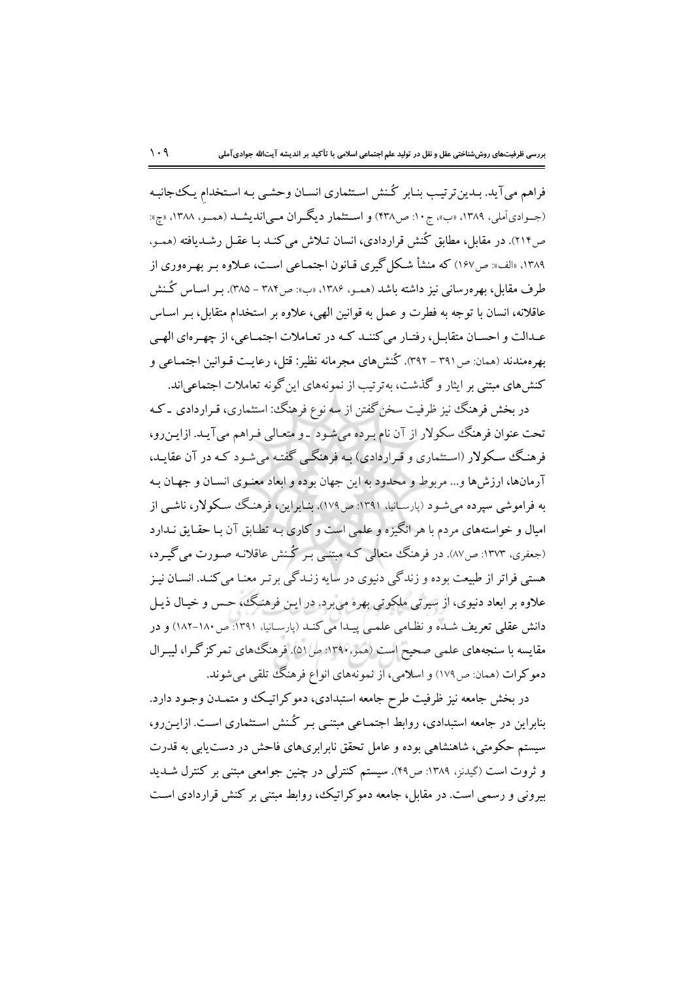فراهم می آید. بـدینترتیـب بنـابر گـنش اسـتثماری انسـان وحشـی بـه اسـتخدام یـک،جانبـه (جــوادي آملي، ١٣٨٩، «ب»، ج ١٠: ص٣٢٨) و اســتثمار ديگــران مــي|نديشــد (همــو، ١٣٨٨، «چ»: ص٢١۴). در مقابل، مطابق كُنش قراردادي، انسان تـلاش مي كنـد بـا عقـل رشـديافته (ممـو. ۱۳۸۹، «الف»: ص۱۶۷) که منشأ شکل گیری قیانون اجتمـاعی اسـت، عـلاوه بـر بهـرهوری از طرف مقابل، بھرەرسانی نیز داشته باشد (همـو، ۱۳۸۶، «پ»: ص۳۸۴ – ۳۸۵). بـر اسـاس گـُـنش عاقلانه، انسان با توجه به فطرت و عمل به قوانین الهی، علاوه بر استخدام متقابل، بـر اسـاس عـدالت و احســان متقابــل، رفتــار مي كننــد كــه در تعــاملات اجتمــاعي، از چهــرماي الهــي بهر همندند (همان: ص٣٩١ – ٣٩٢). كُنش هاي مجر مانه نظير: قتل، رعايت قـوانين اجتمـاعي و کنش های مبتنی بر ایثار و گذشت، بهترتیب از نمونههای این گونه تعاملات اجتماعی اند.

در بخش فرهنگ نیز ظرفیت سخن گفتن از سه نوع فرهنگ: استثماری، قـراردادی ـ کـه تحت عنوان فرهنگ سکولار از آن نام بـرده میشـود \_و متعـالی فـراهم می آیـد. ازایـن٫و، فرهنگ سکولار (استثماری و قـراردادی) بـه فرهنگـی گفتـه می شـود کـه در آن عقایـد، آرمانها، ارزش،ا و... مربوط و محدود به این جهان بوده و ابعاد معنـوی انسـان و جهـان بـه به فراموشی سیرده می شـود (بارسـانیا، ۱۳۹۱: ص۱۷۹). بنـابراین، فرهنـگ سـکولار، ناشـی از امیال و خواستههای مردم با هر انگیزه و علمی است و کاری بـه تطـابق آن بـا حقـایق نـدارد (جعفری، ۱۳۷۳: ص۸۷). در فرهنگ متعالی کـه مبتنـی بـر گـنش عاقلانـه صـورت می گیـرد، هستی فراتر از طبیعت بوده و زندگی دنیوی در سایه زنـدگی برتـر معنـا می کنـد. انســان نیـز علاوه بر ابعاد دنیوی، از سیرتی ملکوتی بهره میبرد. در این فرهنگ، حس و خیال ذیـل دانش عقلی تعریف شـده و نظـامی علمـی پیـدا می کنـد (پارسـانیا، ۱۳۹۱: ص۱۸۰–۱۸۲) و در مقایسه با سنجههای علمی صحیح است (همو،۱۳۹۰: ص ۵۱). فرهنگههای تمرکزگرا، لیبرال دموکرات (همان: ص١٧٩) و اسلامي، از نمونههاي انواع فرهنگ تلقي مي شوند.

در بخش جامعه نیز ظرفیت طرح جامعه استبدادی، دموکراتیک و متمـدن وجـود دارد. بنابراین در جامعه استبدادی، روابط اجتمـاعی مبتنـی بـر گـنش اسـتثماری اسـت. ازایـن٫رو، سیستم حکومتی، شاهنشاهی بوده و عامل تحقق نابرابریهای فاحش در دست یابی به قدرت و ثروت است (گیدنز، ۱۳۸۹: ص۴۹). سیستم کنترلی در چنین جوامعی مبتنی بر کنترل شـدید بیرونی و رسمی است. در مقابل، جامعه دموکر اتیک، روابط مبتنی بر کنش قراردادی است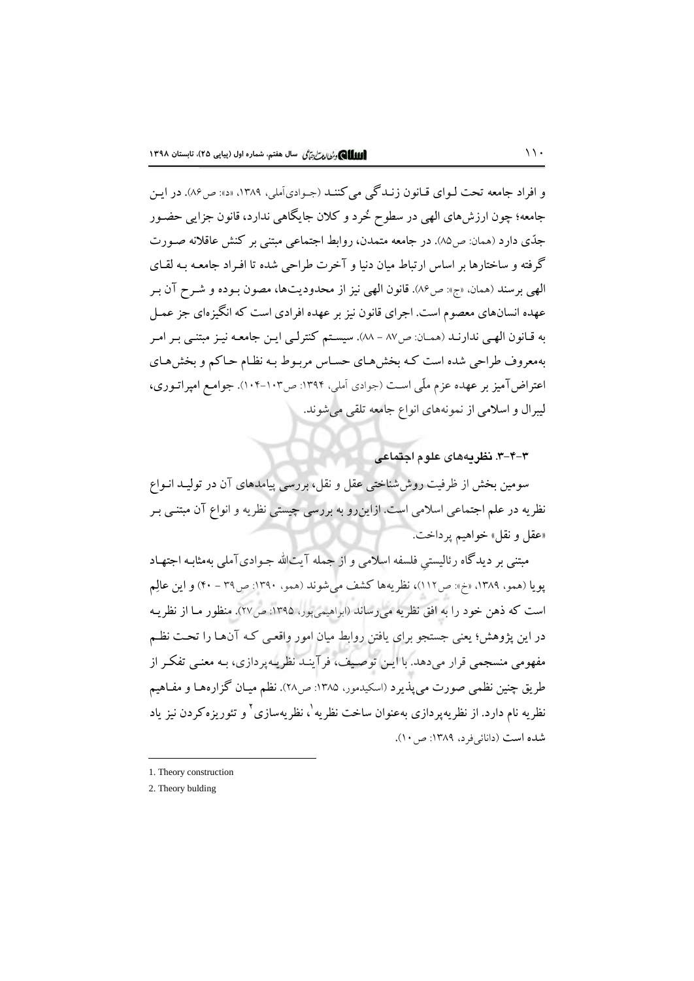و افراد جامعه تحت لـواي قـانون زنـدگي مي كننـد (جـوادي آملي، ١٣٨٩، «د»: ص٩۶). در ايـن جامعه؛ چون ارزشهای الهی در سطوح خُرد و کلان جایگاهی ندارد، قانون جزایی حضـور جِدِّي دارد (همان: ص٨٥). در جامعه متمدن، روابط اجتماعي مبتني بر كنش عاقلانه صـورت گرفته و ساختارها بر اساس ارتباط میان دنیا و آخرت طراحی شده تا افـراد جامعـه بـه لقـای الهي برسند (همان، «ج»: ص٨۶). قانون الهي نيز از محدوديتها، مصون بـوده و شـرح آن بـر عهده انسانهای معصوم است. اجرای قانون نیز بر عهده افرادی است که انگیزهای جز عمـل به قـانون الهـي ندارنـد (همـان: ص٨٧ - ٨٨). سيسـتم كنترلـي ايـن جامعـه نيـز مبتنـي بـر امـر بهمعروف طراحی شده است کـه بخش هـای حسـاس مربـوط بـه نظـام حـاکم و بخش هـای اعتراض آمیز بر عهده عزم ملّی است (جوادی اَملی، ۱۳۹۴: ص۱۰۳-۱۰۴). جوامع امپراتـوری، لیبرال و اسلامی از نمونههای انواع جامعه تلقی می شوند.

۳-۴-۳. نظر بههای علوم اجتماعی

سومین بخش از ظرفیت روششناختی عقل و نقل، بررسی پیامدهای آن در تولیـد انـواع نظریه در علم اجتماعی اسلامی است. ازاین٫و به بررسی چیستی نظریه و انواع آن مبتنبی بـر «عقل و نقل» خواهيم پرداخت.

مبتنی بر دیدگاه رئالیستی فلسفه اسلامی و از جمله آیتالله جـوادیآملی بهمثابـه اجتهـاد يويا (همو، ١٣٨٩، «خ»: ص١١٢)، نظريهها كشف مي شوند (همو، ١٣٩٠: ص٣٩ - ٣٠) و اين عالِم است که ذهن خود را به افق نظریه می رساند (ابراهیمی یور، ۱۳۹۵: ص۲۷). منظور مـا از نظریـه در این پژوهش؛ یعنی جستجو برای یافتن روابط میان امور واقعـی کـه آنهـا را تحـت نظـم مفهومی منسجمی قرار میدهد. با این توصیف، فرآینـد نظریـه پردازی، بـه معنـی تفکـر از طريق چنين نظمي صورت مي يُذيرد (اسكيدمور، ١٣٨۵: ص٢٨). نظم ميـان گزارههـا و مفـاهيم نظریه نام دارد. از نظریهپردازی بهعنوان ساخت نظریه<sup>۱</sup>، نظریهسازی<sup>۲</sup> و تئوریزهکردن نیز یاد شده است (دانائی فرد، ۱۳۸۹: ص ۱۰).

<sup>1.</sup> Theory construction

<sup>2.</sup> Theory bulding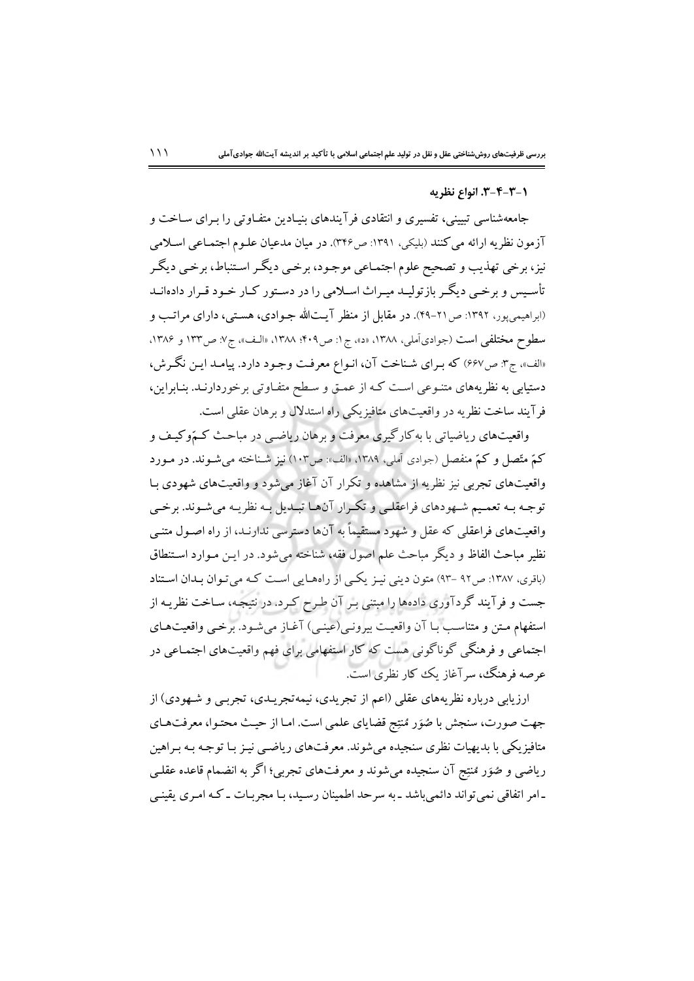#### ٦-٣-٣-٣. انواع نظريه

جامعهشناسی تبیینی، تفسیری و انتقادی فرآیندهای بنیـادین متفـاوتی را بـرای سـاخت و آزمون نظریه ارائه می کنند (بلیکی، ۱۳۹۱: ص۳۴۶). در میان مدعیان علـوم اجتمـاعی اسـلامی نیز، برخی تهذیب و تصحیح علوم اجتمـاعی موجـود، برخـی دیگـر اسـتنباط، برخـی دیگـر تأسیس و برخبی دیگر بازتولیـد میـراث اسـلامی را در دسـتور کـار خـود قـرار دادهانـد (ابراهیمی یور، ۱۳۹۲: ص ۲۱-۴۹). در مقابل از منظر آیتالله جـوادی، هسـتی، دارای مراتـب و سطوح مختلفي است (جوادي آملي، ١٣٨٨، «د»، ج١: ص٤٠٩؛ ١٣٨٨، «الـف»، ج٧: ص١٣٣ و ١٣٨۶، «الف»، ج۳: ص۶۶۷) که بـرای شـناخت آن، انـواع معرفـت وجـود دارد. پیامـد ایـن نگـرش، دستیابی به نظریههای متنـوعی اسـت کـه از عمـق و سـطح متفـاوتی برخوردارنـد. بنـابراین، فر آیند ساخت نظریه در واقعیتهای متافیزیکی راه استدلال و برهان عقلبی است.

واقعیتهای ریاضیاتی با به کارگیری معرفت و برهان ریاضـی در مباحـث کـمّوکیـف و کمّ متّصل و کمّ منفصل (جوادي آملي، ١٣٨٩، «الف»: ص١٠٣) نيز شـناخته مي شـوند. در مـورد واقعیتهای تجربی نیز نظریه از مشاهده و تکرار آن آغاز میشود و واقعیتهای شهودی بـا توجـه بـه تعمـيم شـهودهاي فراعقلـي و تكـرار آنهـا تبـديل بـه نظريـه مي شـوند. برخـي واقعیتهای فراعقلی که عقل و شهود مستقیماً به آنها دسترسی ندارنـد، از راه اصـول متنـی نظير مباحث الفاظ و ديگر مباحث علم اصول فقه، شناخته مي شود. در ايـن مـوارد اسـتنطاق (باقری، ۱۳۸۷: ص۹۲ -۹۳) متون دینی نیـز یکـی از راههـایی اسـت کـه می تـوان بـدان اسـتناد جست و فرآیند گردآوری دادهها را مبتنی بـر آن طـرح کـرد. در نتیجـه، سـاخت نظریـه از استفهام متن و متناسب بـا آن واقعيـت بيرونـي(عينـي) آغـاز مي شـود. برخـي واقعيت١عـاي اجتماعی و فرهنگی گوناگونی هست که کار استفهامی برای فهم واقعیتهای اجتمـاعی در عرصه فرهنگ، سرآغاز یک کار نظری است.

ارزیابی درباره نظریههای عقلی (اعم از تجریدی، نیمهتجریـدی، تجربـی و شـهودی) از جهت صورت، سنجش با صُوَر مُنتِج قضاياي علمي است. امـا از حيـث محتـوا، معرفتهـاي متافیزیکی با بدیهیات نظری سنجیده میشوند. معرفتهای ریاضـبی نیـز بـا توجـه بـه بـراهین رياضي و صُوَر مُنتِج آن سنجيده مي شوند و معرفتهاي تجربي؛ اگر به انضمام قاعده عقلـي ۔امر اتفاقی نمی تواند دائمی باشد ـ به سرحد اطمینان رسید، بـا مجربـات ـ کـه امـری یقینـی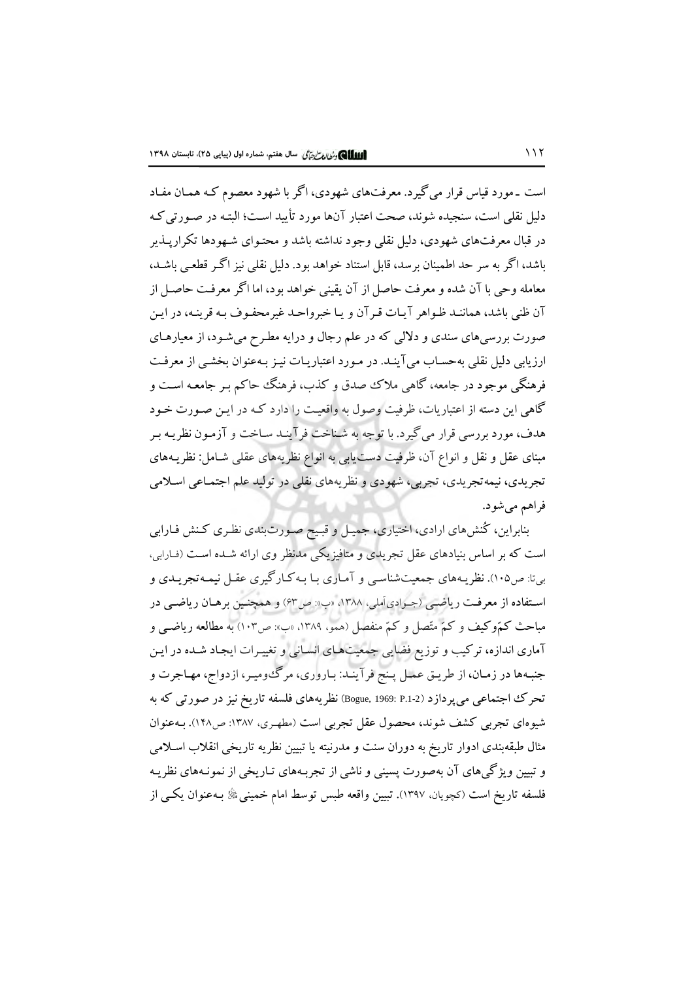است ۔مورد قیاس قرار می گیرد. معرفتهای شهودی، اگر با شهود معصوم کـه همـان مفـاد دلیل نقلی است، سنجیده شوند، صحت اعتبار آنها مورد تأیید است؛ البتـه در صـورتی کـه در قبال معرفتهای شهودی، دلیل نقلبی وجود نداشته باشد و محتـوای شـهودها تکراریــذیر باشد، اگر به سر حد اطمینان برسد، قابل استناد خواهد بود. دلیل نقلی نیز اگـر قطعـی باشـد، معامله وحي با آن شده و معرفت حاصل از آن يقيني خواهد بود، اما اگر معرفت حاصل از آن ظني باشد، هماننـد ظـواهر آيـات قـرآن و يـا خبرواحـد غيرمحفـوف بـه قرينـه، در ايـن صورت بررسی های سندی و دلالی که در علم رجال و درایه مطـرح میشـود، از معیارهـای ارزیابی دلیل نقلی بهحساب میآینـد. در مـورد اعتباریـات نیـز بـهعنوان بخشـی از معرفـت فرهنگي موجود در جامعه، گاهي ملاک صدق و کذب، فرهنگ حاکم بـر جامعـه اسـت و گاهی این دسته از اعتباریات، ظرفیت وصول به واقعیت را دارد کـه در ایـن صـورت خـود هدف، مورد بررسی قرار می گیرد. با توجه به شناخت فرآینـد سـاخت و آزمـون نظریـه بـر مبنای عقل و نقل و انواع آن، ظرفیت دست یابی به انواع نظریههای عقلی شـامل: نظریـههای تجریدی، نیمهتجریدی، تجربی، شهودی و نظریههای نقلی در تولید علم اجتمـاعی اسـلامی فراهم مي شود.

بنابراین، کُنش،ای ارادی، اختیاری، جمیـل و قبـیح صـورتبندی نظـری کـنش فـارابی است که بر اساس بنیادهای عقل تجریدی و متافیزیکی مدنظر وی ارائه شـده اسـت (فـارابی، بی:نا ص۱۰۵). نظریـههای جمعیتشناسـی و آمـاری بـا بـهکـارگیری عقـل نیمـهتجریــدی و استفاده از معرفت ریاضی (جـوادي آملي، ١٣٨٨، «ب»: ص٤٣) و همچنين برهـان رياضـي در مباحث کمّوکیف و کمّ متّصل و کمّ منفصل (همو، ۱۳۸۹، «ب»: ص۱۰۳) به مطالعه ریاضبی و آماری اندازه، ترکیب و توزیع فضایی جمعیتهای انسانی و تغییرات ایجاد شـده در ایـن جنبهها در زمـان، از طريـق عمـل پـنج فرآينـد: بـاروري، مرگءوميـر، ازدواج، مهـاجرت و تحرک اجتماعی می پردازد (Bogue, 1969: P.1-2) نظریههای فلسفه تاریخ نیز در صورتی که به شیوهای تجربی کشف شوند، محصول عقل تجربی است (مطهـری، ۱۳۸۷: ص۱۴۸). بـهعنوان مثال طبقهبندی ادوار تاریخ به دوران سنت و مدرنیته یا تبیین نظریه تاریخی انقلاب اسلامی و تبیین ویژگیهای آن بهصورت پسینی و ناشی از تجربـههای تـاریخی از نمونـههای نظریـه فلسفه تاريخ است (كچويان، ١٣٩٧). تبيين واقعه طبس توسط امام خميني ﷺ بـهعنوان يكـي از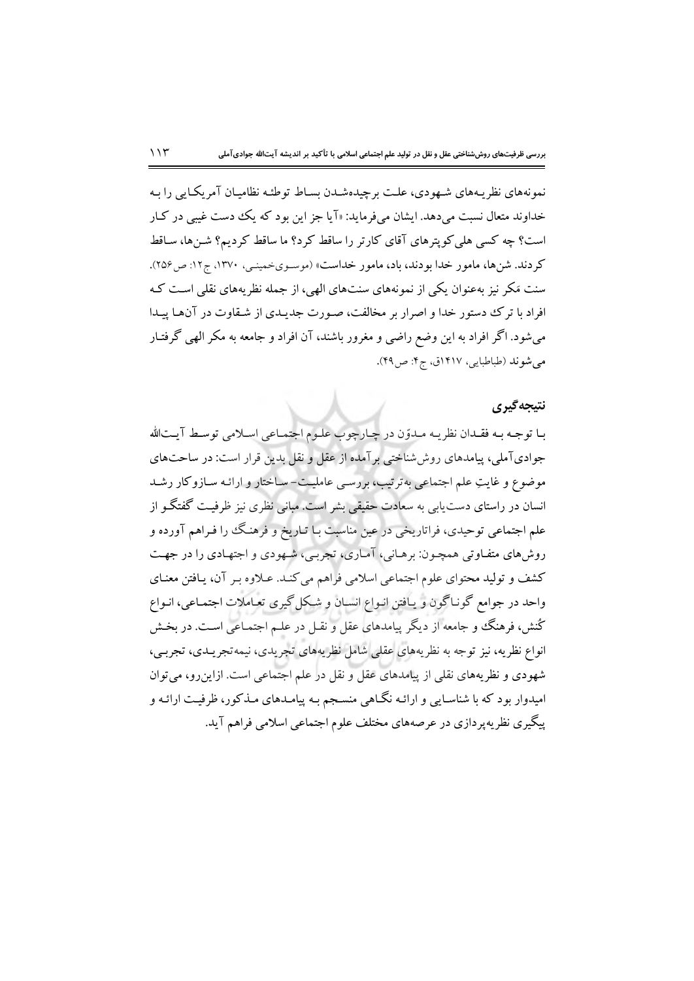نمونههای نظریـههای شـهودی، علـت برچیدهشـدن بسـاط توطئـه نظامیـان آمریکـایی را بـه خداوند متعال نسبت می دهد. ایشان می فرماید: «آیا جز این بود که یک دست غیبی در کـار است؟ چه کسی هلی کویترهای آقای کارتر را ساقط کرد؟ ما ساقط کردیم؟ شـنها، سـاقط كردند. شنها، مامور خدا بودند، باد، مامور خداست» (موسـويخمينـي، ١٣٧٠، ج١٢: ص١٥۶). سنت مَکر نیز بهعنوان یکی از نمونههای سنتهای الهی، از جمله نظریههای نقلی است کـه افراد با ترک دمستور خدا و اصرار بر مخالفت، صـورت جدیـدی از شـقاوت در آنهـا پیـدا میشود. اگر افراد به این وضع راضی و مغرور باشند، آن افراد و جامعه به مکر الهی گرفتـار مي شوند (طباطبايي، ١٤١٧ق، ج۴: ص٩٩).

#### نتيجه گيري

بـا توجـه بـه فقـدان نظريـه مـدوّن در چـارچوب علـوم اجتمـاعي اسـلامي توسـط آيـتالله جوادیآملی، پیامدهای روششناختی برآمده از عقل و نقل بدین قرار است: در ساحتهای موضوع و غایتِ علم اجتماعی بهترتیب، بررسی عاملیت-ساختار و ارائـه سـازوکار رشـد انسان در راستای دست یابی به سعادت حقیقی بشر است. مبانی نظری نیز ظرفیـت گفتگـو از علم اجتماعي توحيدي، فراتاريخي در عين مناسبت بـا تـاريخ و فرهنگ را فـراهم آورده و روشهای متفـاوتی همچـون: برهـانی، آمـاری، تجربـی، شـهودی و اجتهـادی را در جهـت کشف و تولید محتوای علوم اجتماعی اسلامی فراهم می کنـد. عـلاوه بـر آن، یـافتن معنـای واحد در جوامع گونـاگون و يـافتن انـواع انسـان و شـكل گيري تعـاملات اجتمـاعي، انـواع کُنش، فرهنگ و جامعه از دیگر پیامدهای عقل و نقـل در علـم اجتمـاعی اسـت. در بخـش انواع نظریه، نیز توجه به نظریههای عقلبی شامل نظریههای تجریدی، نیمه تجریـدی، تجربـی، شهودی و نظریههای نقلی از پیامدهای عقل و نقل در علم اجتماعی است. ازاین٫و، میتوان امیدوار بود که با شناسـایی و ارائـه نگـاهی منسـجم بـه پیامـدهای مـذکور، ظرفیـت ارائـه و پیگیری نظر په پر دازی در عرصههای مختلف علوم اجتماعی اسلامی فراهم آید.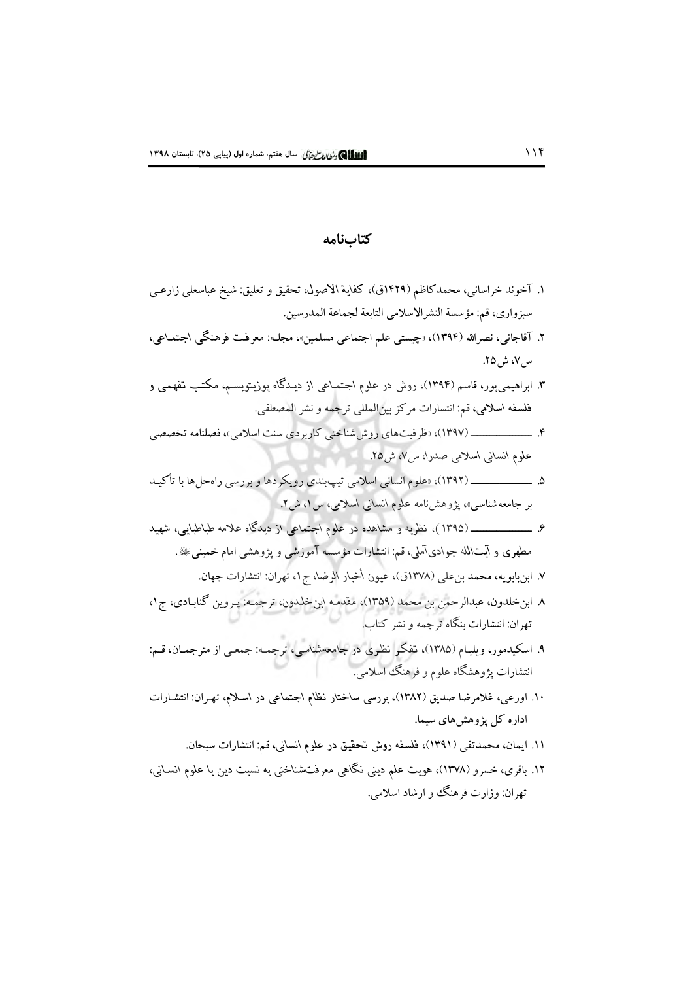#### كتابنامه

- ١. آخوند خراساني، محمدكاظم (١٤٢٩ق)، كفاية الاصول، تحقيق و تعليق: شيخ عباسعلي زارعـي سبزواري، قم: مؤسسة النشرالاسلامي التابعة لجماعة المدرسين.
- ٢. آقاجانبي، نصرالله (١٣٩۴)، «چيستي علم اجتماعي مسلمين»، مجلـه: معرفـت فرهنگـي اجتمـاعي، س ۷، ش۵۲.
- ۳. ابراهیمی،پور، قاسم (۱۳۹۴)، روش در علوم اجتماعی از دیـدگاه پوزیـتویسـم، مکتـب تفهمـی و فلسفه اسلامي، قم: انتسارات مركز بين المللي ترجمه و نشر المصطفى.
- ۴. \_\_\_\_\_\_\_\_\_\_\_\_\_ (۱۳۹۷)، اظرفیتهای روش شناختی کاربردی سنت اسلامی»، فصلنامه تخصصی علوم انسانی اسلامی صدرا، س۷، ش۵٪.
- بر جامعهشناسی»، پژوهشنامه علوم انسانی اسلامی، س ۱، ش۲.
- مطهری و آیتالله جوادیآملی، قم: انتشارات مؤسسه آموزشی و پژوهشی امام خمینی ﷺ.
	- ٧. ابنبابويه، محمد بن علي (١٣٧٨ق)، عيون أخبار الرضا، ج١، تهران: انتشارات جهان.
- ٨ ابن خلدون، عبدالرحمن بن محمد (١٣٥٩)، مقدمـه ابن خلدون، ترجمـه: پـروين گنابـادي، ج١، تهران: انتشارات پنگاه ترجمه و نشر کتاب.
- ۹. اسکیدمور، ویلیـام (۱۳۸۵)، تفکـر نظـری در جامعهشناسبی، ترجمـه: جمعـی از مترجمـان، قـم: انتشارات یژوهشگاه علوم و فرهنگ اسلامی.
- ۱۰. اورعی، غلامرضا صدیق (۱۳۸۲)، بررسی ساختار نظام اجتماعی در اسلام، تهـران: انتشـارات اداره کل پژوهشهای سیما.
	- ١١. ايمان، محمدتقى (١٣٩١)، فلسفه روش تحقيق در علوم انساني، قم: انتشارات سبحان.
- ۱۲. باقری، خسرو (۱۳۷۸)، هویت علم دینی نگاهی معرفتشناختی به نسبت دین با علوم انسـانی، تهران: وزارت فرهنگ و ارشاد اسلامي.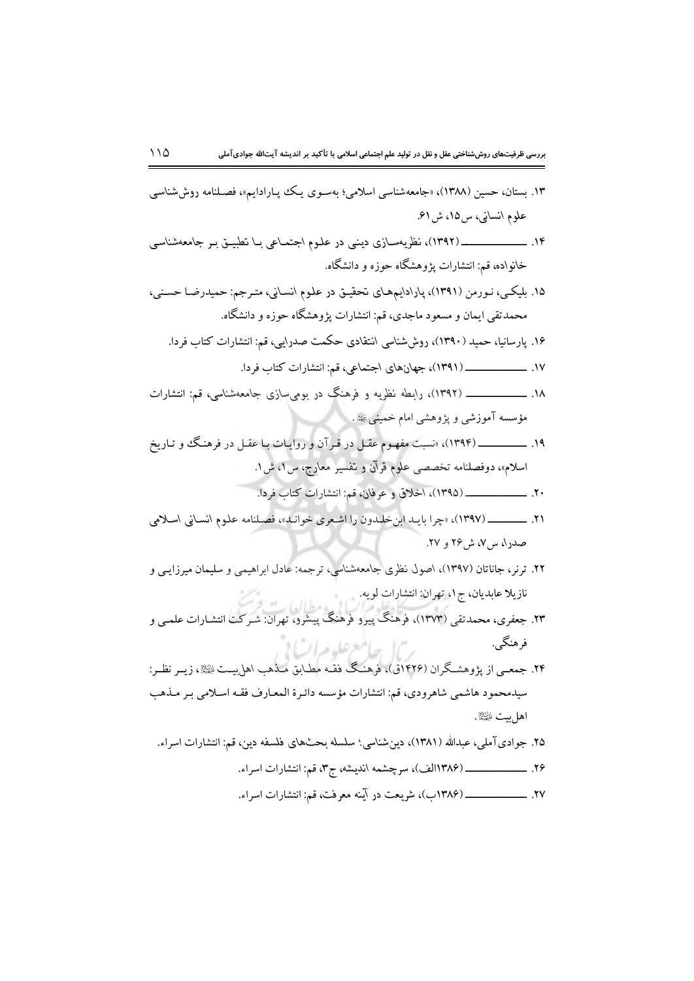- ۱۳. بستان، حسین (۱۳۸۸)، «جامعهشناسی اسلامی؛ بهسـوی یـک پپـارادایم»، فصـلنامه روششناسـی علوم انسانی، س۱۵، ش۱۶.
- خانواده، قم: انتشارات پژوهشگاه حوزه و دانشگاه.
- ۱۵. بلیکـی، نـورمن (۱۳۹۱)، پارادایمهمـای تحقیـق در علـوم انسـانی، متـرجم: حمیدرضـا حسـنی، محمدتقی ایمان و مسعود ماجدی، قم: انتشارات پژوهشگاه حوزه و دانشگاه.
	- ۱۶. یارسانیا، حمید (۱۳۹۰)، روششناسی انتقادی حکمت صدرایی، قم: انتشارات کتاب فردا.
		-
- ۱۸. ــــــــــــــــــــــ (۱۳۹۲)، رابطه نظریه و فرهنگ در بومیسازی جامعهشناسی، قم: انتشارات مؤسسه آموزشي و پژوهشي امام خمينې ﷺ.
- اسلام»، دوفصلنامه تخصصي علوم قرآن و تفسير معارج، س ٥، ش ١.
	- ٢٠. \_\_\_\_\_\_\_\_\_\_\_\_\_ (١٣٩٥)، اخلاق و عرفان، قم: انتشارات كتاب فردا.
- ٢١. \_\_\_\_\_\_\_ (١٣٩٧)، «چرا بايـد ابن خليدون را اشـعرى خوانيد»، فصـلنامه علوم انسـاني اسـلامي صدرا، س ۷، ش ۲۶ و ۲۷.
- ۲۲. ترنر، جاناتان (۱۳۹۷)، اصول نظری جامعهشناسی، ترجمه: عادل ابراهیمی و سلیمان میرزایـی و نازيلا عابديان، ج ١، تهران: انتشارات لويه.
- ۲۳. جعفری، محمدتقی (۱۳۷۳)، فرهنگ پیرو فرهنگ پیشرو، تهران: شـرکت انتشـارات علمـی و فرهنگے ٖ. "ا جامع علوم اتیا !
- ۲۴. جمعــی از پژوهشـگران (۱۴۲۶ق)، فرهنـگ فقـه مطـابق مـذهب اهل بيــت التيلا، زيــر نظــر: سیدمحمود هاشمی شاهرودی، قم: انتشارات مؤسسه دائـرة المعـارف فقـه اسـلامی بـر مـذهب اهل بيت ﷺ.
	- ۲۵. جواديآملي، عبدالله (۱۳۸۱)، دينشناسي؛ سلسله بحثهاي فلسفه دين، قم: انتشارات اسراء.
		-
		-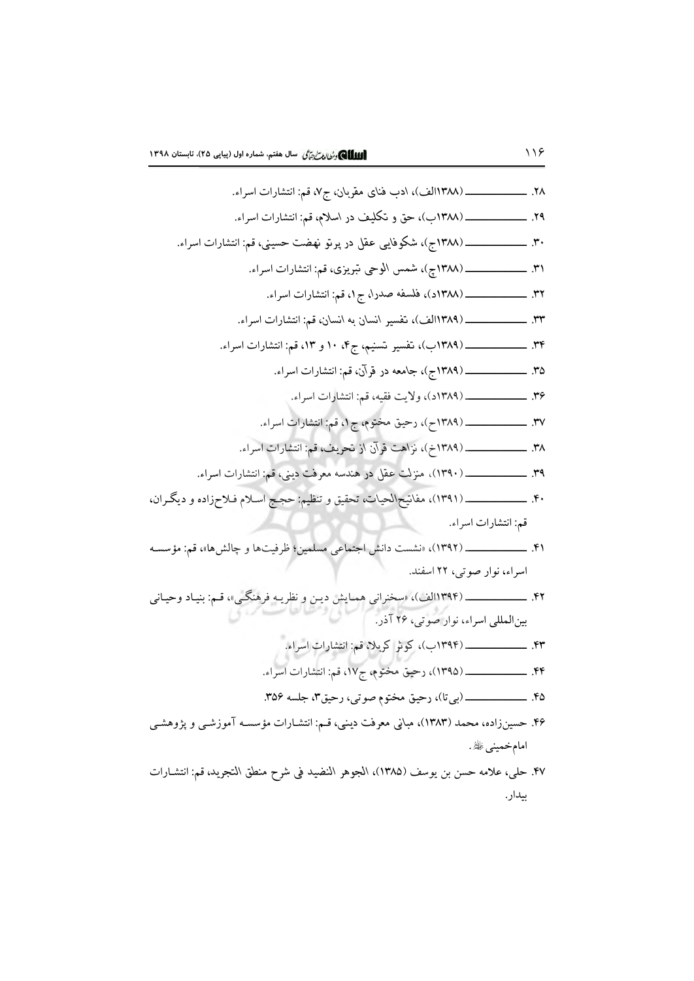174.   
\n174. 
$$
\frac{1}{2} \left( \frac{1}{2} + \frac{1}{2} \left( \frac{1}{2} + \frac{1}{2} \left( \frac{1}{2} + \frac{1}{2} \left( \frac{1}{2} + \frac{1}{2} \left( \frac{1}{2} + \frac{1}{2} \left( \frac{1}{2} + \frac{1}{2} \left( \frac{1}{2} + \frac{1}{2} \left( \frac{1}{2} + \frac{1}{2} \left( \frac{1}{2} + \frac{1}{2} \left( \frac{1}{2} + \frac{1}{2} \left( \frac{1}{2} + \frac{1}{2} \left( \frac{1}{2} + \frac{1}{2} \left( \frac{1}{2} + \frac{1}{2} \left( \frac{1}{2} + \frac{1}{2} \left( \frac{1}{2} + \frac{1}{2} \left( \frac{1}{2} + \frac{1}{2} \left( \frac{1}{2} + \frac{1}{2} \left( \frac{1}{2} + \frac{1}{2} \left( \frac{1}{2} + \frac{1}{2} \left( \frac{1}{2} + \frac{1}{2} \left( \frac{1}{2} + \frac{1}{2} \left( \frac{1}{2} + \frac{1}{2} \left( \frac{1}{2} + \frac{1}{2} \left( \frac{1}{2} + \frac{1}{2} \left( \frac{1}{2} + \frac{1}{2} \left( \frac{1}{2} + \frac{1}{2} \left( \frac{1}{2} + \frac{1}{2} \left( \frac{1}{2} + \frac{1}{2} \left( \frac{1}{2} + \frac{1}{2} \left( \frac{1}{2} + \frac{1}{2} \left( \frac{1}{2} + \frac{1}{2} \left( \frac{1}{2} + \frac{1}{2} \left( \frac{1}{2} + \frac{1}{2} \left( \frac{1}{2} + \frac{1}{2} \left( \frac{1}{2} + \frac{1}{2} \left( \frac{1}{2} + \frac{1}{2} \left( \frac{1}{2} + \frac{1}{2} \left( \frac{1}{2} + \frac{1}{2} \left( \frac{1}{2} + \frac{1}{2} \left( \frac{1}{2} + \frac{1}{2} \left( \frac{1}{2} + \frac{1}{2} \left
$$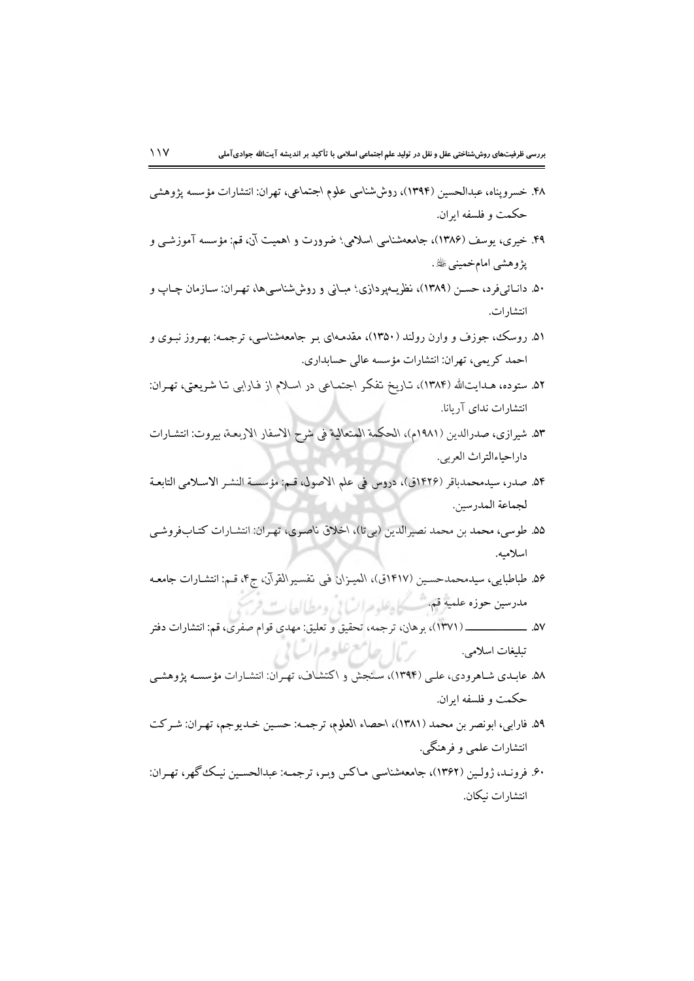- ۴۸. خسروپناه، عبدالحسین (۱۳۹۴)، روششناسی علوم اجتماعی، تهران: انتشارات مؤسسه پژوهشی حکمت و فلسفه ابران.
- ۴۹. خیری، یوسف (۱۳۸۶)، جامعهشناسی اسلامی؛ ضرورت و اهمیت آن، قم: مؤسسه آموزشـی و پژوهشی امامخمینی ﷺ.
- ۵۰. دانـائـیفرد، حســن (۱۳۸۹)، نظریــهپردازی؛ مبـانی و روششناسـیها، تهـران: ســازمان چــاپ و انتشار ات.
- ۵۱. روسک، جوزف و وارن رولند (۱۳۵۰)، مقدمـهای بـر جامعهشناسـی، ترجمـه: بهـروز نبـوی و احمد کریمی، تهران: انتشارات مؤسسه عالی حسابداری.
- ۵۲. ستوده، هـدايتالله (۱۳۸۴)، تـاريخ تفكر اجـتمـاعي در اسـلام از فـارابي تـا شـريعتي، تهـران: انتشارات ندای آریانا.
- ٥٣. شيرازي، صدرالدين (١٩٨١م)، الحكمة المتعالية في شرح الاسفار الاربعـة، بيروت: انتشـارات داراحياءالتراث العربي.
- ٥۴. صدر، سيدمحمدباقر (١٤٢۶ق)، دروس في علم الاصول، قـم: مؤسسـة النشـر الاسـلامي التابعـة لجماعة المدرسين.
- ۵۵. طوسی، محمد بن محمد نصیرالدین (بیتا)، اخلاق ناصری، تهران: انتشارات كتابفروشي اسلاميه.
- ۵۶. طباطبایی، سیدمحمدحسـین (۱۴۱۷ق)، المیـزان فی تفسـیرالقرآن، ج۴، قـم: انتشـارات جامعـه مددسين حوذه علعيثر فاستسلح وعلومرات في ومطيالعات فرس
- تبلیغات اسلامی.<br>۵۸. عابـدی شـاهرودی، علـی (۱۳۹۴)، سـنجش و ۱کتشـاف، تهـران: انتشـارات مؤسسـه پژوهشـی
- حكمت و فلسفه ايران.
- ٥٩. فارابي، ابونصر بن محمد (١٣٨١)، احصاء العلوم، ترجمـه: حسـين خـديوجم، تهـران: شـركت انتشارات علمي و فرهنگي.
- ۶۰. فرونـد، ژولـین (۱۳۶۲)، جامعهشناسـی مـاکس وبـر، ترجمـه: عبدالحسـین نیـک گهر، تهـران: انتشار ات نيكان.